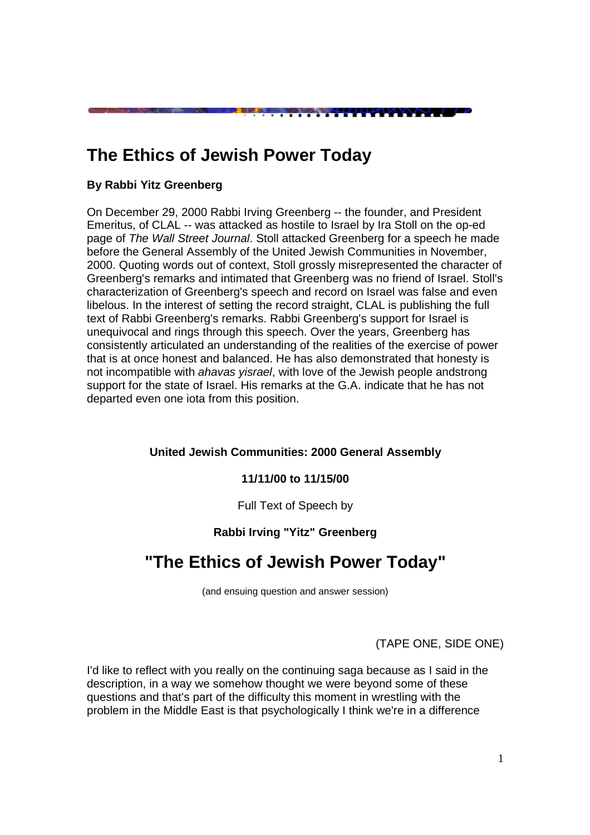# **The Ethics of Jewish Power Today**

### **By Rabbi Yitz Greenberg**

On December 29, 2000 Rabbi Irving Greenberg -- the founder, and President Emeritus, of CLAL -- was attacked as hostile to Israel by Ira Stoll on the op-ed page of The Wall Street Journal. Stoll attacked Greenberg for a speech he made before the General Assembly of the United Jewish Communities in November, 2000. Quoting words out of context, Stoll grossly misrepresented the character of Greenberg's remarks and intimated that Greenberg was no friend of Israel. Stoll's characterization of Greenberg's speech and record on Israel was false and even libelous. In the interest of setting the record straight, CLAL is publishing the full text of Rabbi Greenberg's remarks. Rabbi Greenberg's support for Israel is unequivocal and rings through this speech. Over the years, Greenberg has consistently articulated an understanding of the realities of the exercise of power that is at once honest and balanced. He has also demonstrated that honesty is not incompatible with ahavas yisrael, with love of the Jewish people andstrong support for the state of Israel. His remarks at the G.A. indicate that he has not departed even one iota from this position.

<u> The Manual Second Property of American Second Property of American Second Property of American Second Property of American Second Property of American Second Property of American Second Property and American Second Prope</u>

#### **United Jewish Communities: 2000 General Assembly**

#### **11/11/00 to 11/15/00**

Full Text of Speech by

#### **Rabbi Irving "Yitz" Greenberg**

## **"The Ethics of Jewish Power Today"**

(and ensuing question and answer session)

(TAPE ONE, SIDE ONE)

I'd like to reflect with you really on the continuing saga because as I said in the description, in a way we somehow thought we were beyond some of these questions and that's part of the difficulty this moment in wrestling with the problem in the Middle East is that psychologically I think we're in a difference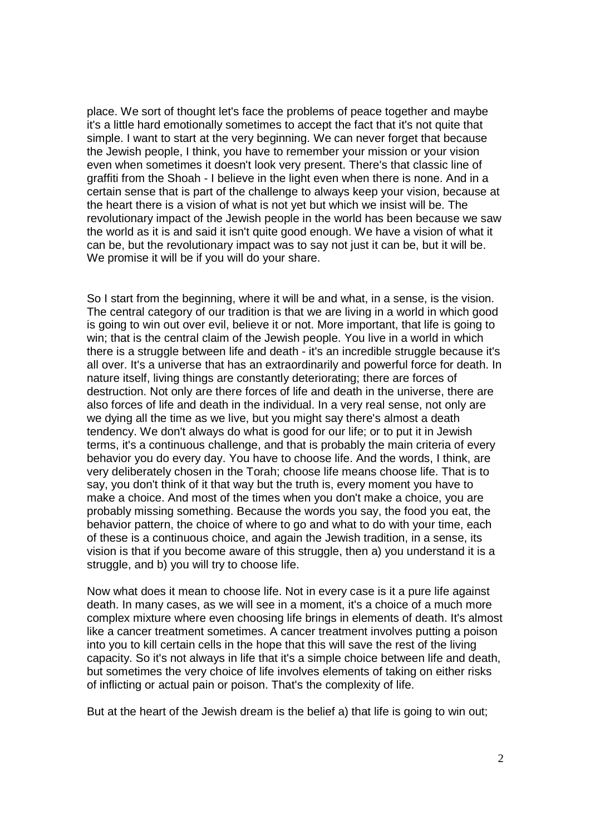place. We sort of thought let's face the problems of peace together and maybe it's a little hard emotionally sometimes to accept the fact that it's not quite that simple. I want to start at the very beginning. We can never forget that because the Jewish people, I think, you have to remember your mission or your vision even when sometimes it doesn't look very present. There's that classic line of graffiti from the Shoah - I believe in the light even when there is none. And in a certain sense that is part of the challenge to always keep your vision, because at the heart there is a vision of what is not yet but which we insist will be. The revolutionary impact of the Jewish people in the world has been because we saw the world as it is and said it isn't quite good enough. We have a vision of what it can be, but the revolutionary impact was to say not just it can be, but it will be. We promise it will be if you will do your share.

So I start from the beginning, where it will be and what, in a sense, is the vision. The central category of our tradition is that we are living in a world in which good is going to win out over evil, believe it or not. More important, that life is going to win; that is the central claim of the Jewish people. You live in a world in which there is a struggle between life and death - it's an incredible struggle because it's all over. It's a universe that has an extraordinarily and powerful force for death. In nature itself, living things are constantly deteriorating; there are forces of destruction. Not only are there forces of life and death in the universe, there are also forces of life and death in the individual. In a very real sense, not only are we dying all the time as we live, but you might say there's almost a death tendency. We don't always do what is good for our life; or to put it in Jewish terms, it's a continuous challenge, and that is probably the main criteria of every behavior you do every day. You have to choose life. And the words, I think, are very deliberately chosen in the Torah; choose life means choose life. That is to say, you don't think of it that way but the truth is, every moment you have to make a choice. And most of the times when you don't make a choice, you are probably missing something. Because the words you say, the food you eat, the behavior pattern, the choice of where to go and what to do with your time, each of these is a continuous choice, and again the Jewish tradition, in a sense, its vision is that if you become aware of this struggle, then a) you understand it is a struggle, and b) you will try to choose life.

Now what does it mean to choose life. Not in every case is it a pure life against death. In many cases, as we will see in a moment, it's a choice of a much more complex mixture where even choosing life brings in elements of death. It's almost like a cancer treatment sometimes. A cancer treatment involves putting a poison into you to kill certain cells in the hope that this will save the rest of the living capacity. So it's not always in life that it's a simple choice between life and death, but sometimes the very choice of life involves elements of taking on either risks of inflicting or actual pain or poison. That's the complexity of life.

But at the heart of the Jewish dream is the belief a) that life is going to win out;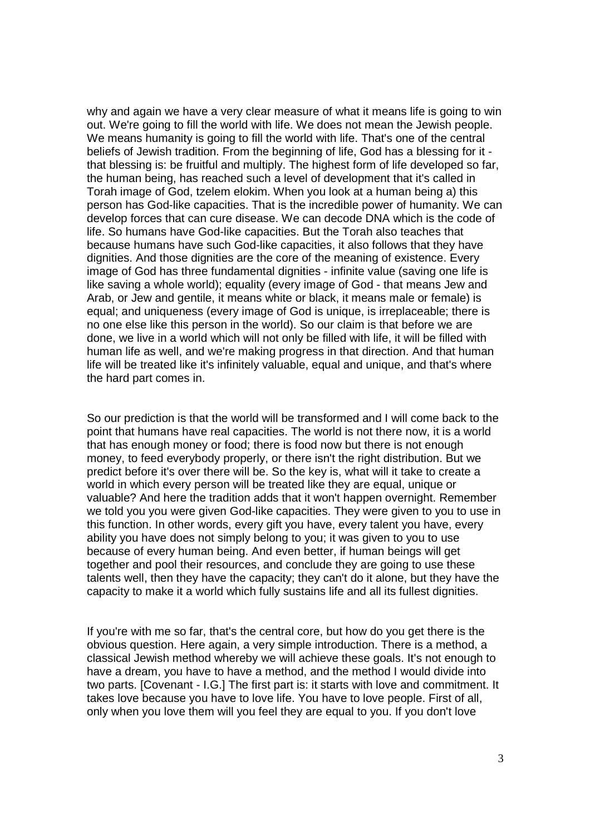why and again we have a very clear measure of what it means life is going to win out. We're going to fill the world with life. We does not mean the Jewish people. We means humanity is going to fill the world with life. That's one of the central beliefs of Jewish tradition. From the beginning of life, God has a blessing for it that blessing is: be fruitful and multiply. The highest form of life developed so far, the human being, has reached such a level of development that it's called in Torah image of God, tzelem elokim. When you look at a human being a) this person has God-like capacities. That is the incredible power of humanity. We can develop forces that can cure disease. We can decode DNA which is the code of life. So humans have God-like capacities. But the Torah also teaches that because humans have such God-like capacities, it also follows that they have dignities. And those dignities are the core of the meaning of existence. Every image of God has three fundamental dignities - infinite value (saving one life is like saving a whole world); equality (every image of God - that means Jew and Arab, or Jew and gentile, it means white or black, it means male or female) is equal; and uniqueness (every image of God is unique, is irreplaceable; there is no one else like this person in the world). So our claim is that before we are done, we live in a world which will not only be filled with life, it will be filled with human life as well, and we're making progress in that direction. And that human life will be treated like it's infinitely valuable, equal and unique, and that's where the hard part comes in.

So our prediction is that the world will be transformed and I will come back to the point that humans have real capacities. The world is not there now, it is a world that has enough money or food; there is food now but there is not enough money, to feed everybody properly, or there isn't the right distribution. But we predict before it's over there will be. So the key is, what will it take to create a world in which every person will be treated like they are equal, unique or valuable? And here the tradition adds that it won't happen overnight. Remember we told you you were given God-like capacities. They were given to you to use in this function. In other words, every gift you have, every talent you have, every ability you have does not simply belong to you; it was given to you to use because of every human being. And even better, if human beings will get together and pool their resources, and conclude they are going to use these talents well, then they have the capacity; they can't do it alone, but they have the capacity to make it a world which fully sustains life and all its fullest dignities.

If you're with me so far, that's the central core, but how do you get there is the obvious question. Here again, a very simple introduction. There is a method, a classical Jewish method whereby we will achieve these goals. It's not enough to have a dream, you have to have a method, and the method I would divide into two parts. [Covenant - I.G.] The first part is: it starts with love and commitment. It takes love because you have to love life. You have to love people. First of all, only when you love them will you feel they are equal to you. If you don't love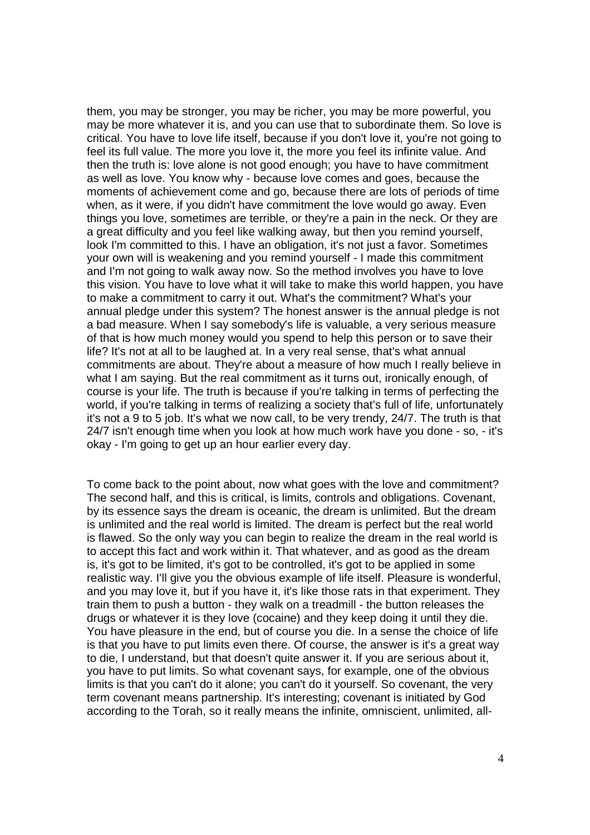them, you may be stronger, you may be richer, you may be more powerful, you may be more whatever it is, and you can use that to subordinate them. So love is critical. You have to love life itself, because if you don't love it, you're not going to feel its full value. The more you love it, the more you feel its infinite value. And then the truth is: love alone is not good enough; you have to have commitment as well as love. You know why - because love comes and goes, because the moments of achievement come and go, because there are lots of periods of time when, as it were, if you didn't have commitment the love would go away. Even things you love, sometimes are terrible, or they're a pain in the neck. Or they are a great difficulty and you feel like walking away, but then you remind yourself, look I'm committed to this. I have an obligation, it's not just a favor. Sometimes your own will is weakening and you remind yourself - I made this commitment and I'm not going to walk away now. So the method involves you have to love this vision. You have to love what it will take to make this world happen, you have to make a commitment to carry it out. What's the commitment? What's your annual pledge under this system? The honest answer is the annual pledge is not a bad measure. When I say somebody's life is valuable, a very serious measure of that is how much money would you spend to help this person or to save their life? It's not at all to be laughed at. In a very real sense, that's what annual commitments are about. They're about a measure of how much I really believe in what I am saying. But the real commitment as it turns out, ironically enough, of course is your life. The truth is because if you're talking in terms of perfecting the world, if you're talking in terms of realizing a society that's full of life, unfortunately it's not a 9 to 5 job. It's what we now call, to be very trendy, 24/7. The truth is that 24/7 isn't enough time when you look at how much work have you done - so, - it's okay - I'm going to get up an hour earlier every day.

To come back to the point about, now what goes with the love and commitment? The second half, and this is critical, is limits, controls and obligations. Covenant, by its essence says the dream is oceanic, the dream is unlimited. But the dream is unlimited and the real world is limited. The dream is perfect but the real world is flawed. So the only way you can begin to realize the dream in the real world is to accept this fact and work within it. That whatever, and as good as the dream is, it's got to be limited, it's got to be controlled, it's got to be applied in some realistic way. I'll give you the obvious example of life itself. Pleasure is wonderful, and you may love it, but if you have it, it's like those rats in that experiment. They train them to push a button - they walk on a treadmill - the button releases the drugs or whatever it is they love (cocaine) and they keep doing it until they die. You have pleasure in the end, but of course you die. In a sense the choice of life is that you have to put limits even there. Of course, the answer is it's a great way to die, I understand, but that doesn't quite answer it. If you are serious about it, you have to put limits. So what covenant says, for example, one of the obvious limits is that you can't do it alone; you can't do it yourself. So covenant, the very term covenant means partnership. It's interesting; covenant is initiated by God according to the Torah, so it really means the infinite, omniscient, unlimited, all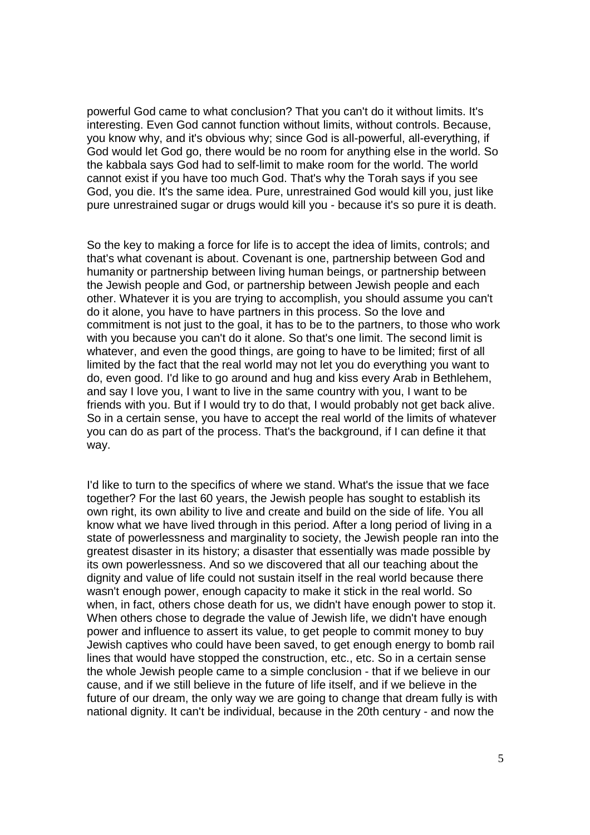powerful God came to what conclusion? That you can't do it without limits. It's interesting. Even God cannot function without limits, without controls. Because, you know why, and it's obvious why; since God is all-powerful, all-everything, if God would let God go, there would be no room for anything else in the world. So the kabbala says God had to self-limit to make room for the world. The world cannot exist if you have too much God. That's why the Torah says if you see God, you die. It's the same idea. Pure, unrestrained God would kill you, just like pure unrestrained sugar or drugs would kill you - because it's so pure it is death.

So the key to making a force for life is to accept the idea of limits, controls; and that's what covenant is about. Covenant is one, partnership between God and humanity or partnership between living human beings, or partnership between the Jewish people and God, or partnership between Jewish people and each other. Whatever it is you are trying to accomplish, you should assume you can't do it alone, you have to have partners in this process. So the love and commitment is not just to the goal, it has to be to the partners, to those who work with you because you can't do it alone. So that's one limit. The second limit is whatever, and even the good things, are going to have to be limited; first of all limited by the fact that the real world may not let you do everything you want to do, even good. I'd like to go around and hug and kiss every Arab in Bethlehem, and say I love you, I want to live in the same country with you, I want to be friends with you. But if I would try to do that, I would probably not get back alive. So in a certain sense, you have to accept the real world of the limits of whatever you can do as part of the process. That's the background, if I can define it that way.

I'd like to turn to the specifics of where we stand. What's the issue that we face together? For the last 60 years, the Jewish people has sought to establish its own right, its own ability to live and create and build on the side of life. You all know what we have lived through in this period. After a long period of living in a state of powerlessness and marginality to society, the Jewish people ran into the greatest disaster in its history; a disaster that essentially was made possible by its own powerlessness. And so we discovered that all our teaching about the dignity and value of life could not sustain itself in the real world because there wasn't enough power, enough capacity to make it stick in the real world. So when, in fact, others chose death for us, we didn't have enough power to stop it. When others chose to degrade the value of Jewish life, we didn't have enough power and influence to assert its value, to get people to commit money to buy Jewish captives who could have been saved, to get enough energy to bomb rail lines that would have stopped the construction, etc., etc. So in a certain sense the whole Jewish people came to a simple conclusion - that if we believe in our cause, and if we still believe in the future of life itself, and if we believe in the future of our dream, the only way we are going to change that dream fully is with national dignity. It can't be individual, because in the 20th century - and now the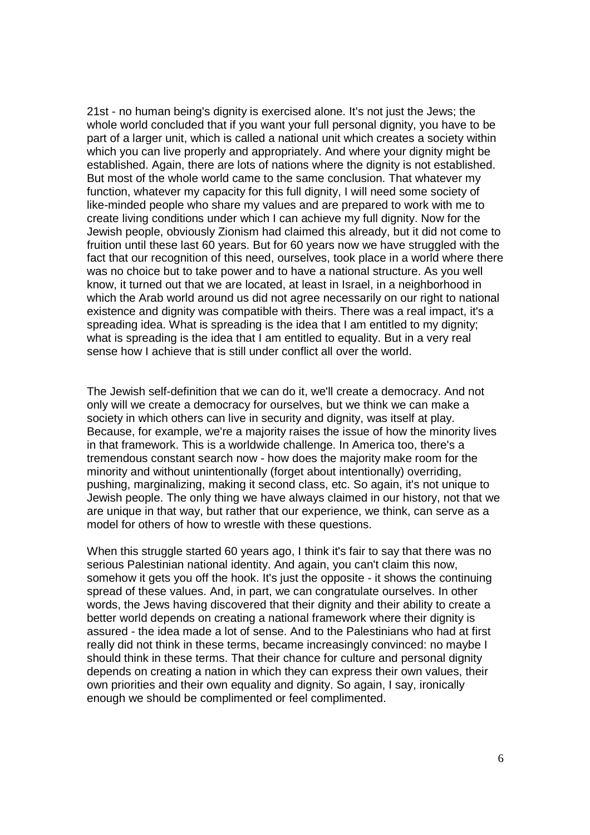21st - no human being's dignity is exercised alone. It's not just the Jews; the whole world concluded that if you want your full personal dignity, you have to be part of a larger unit, which is called a national unit which creates a society within which you can live properly and appropriately. And where your dignity might be established. Again, there are lots of nations where the dignity is not established. But most of the whole world came to the same conclusion. That whatever my function, whatever my capacity for this full dignity, I will need some society of like-minded people who share my values and are prepared to work with me to create living conditions under which I can achieve my full dignity. Now for the Jewish people, obviously Zionism had claimed this already, but it did not come to fruition until these last 60 years. But for 60 years now we have struggled with the fact that our recognition of this need, ourselves, took place in a world where there was no choice but to take power and to have a national structure. As you well know, it turned out that we are located, at least in Israel, in a neighborhood in which the Arab world around us did not agree necessarily on our right to national existence and dignity was compatible with theirs. There was a real impact, it's a spreading idea. What is spreading is the idea that I am entitled to my dignity; what is spreading is the idea that I am entitled to equality. But in a very real sense how I achieve that is still under conflict all over the world.

The Jewish self-definition that we can do it, we'll create a democracy. And not only will we create a democracy for ourselves, but we think we can make a society in which others can live in security and dignity, was itself at play. Because, for example, we're a majority raises the issue of how the minority lives in that framework. This is a worldwide challenge. In America too, there's a tremendous constant search now - how does the majority make room for the minority and without unintentionally (forget about intentionally) overriding, pushing, marginalizing, making it second class, etc. So again, it's not unique to Jewish people. The only thing we have always claimed in our history, not that we are unique in that way, but rather that our experience, we think, can serve as a model for others of how to wrestle with these questions.

When this struggle started 60 years ago, I think it's fair to say that there was no serious Palestinian national identity. And again, you can't claim this now, somehow it gets you off the hook. It's just the opposite - it shows the continuing spread of these values. And, in part, we can congratulate ourselves. In other words, the Jews having discovered that their dignity and their ability to create a better world depends on creating a national framework where their dignity is assured - the idea made a lot of sense. And to the Palestinians who had at first really did not think in these terms, became increasingly convinced: no maybe I should think in these terms. That their chance for culture and personal dignity depends on creating a nation in which they can express their own values, their own priorities and their own equality and dignity. So again, I say, ironically enough we should be complimented or feel complimented.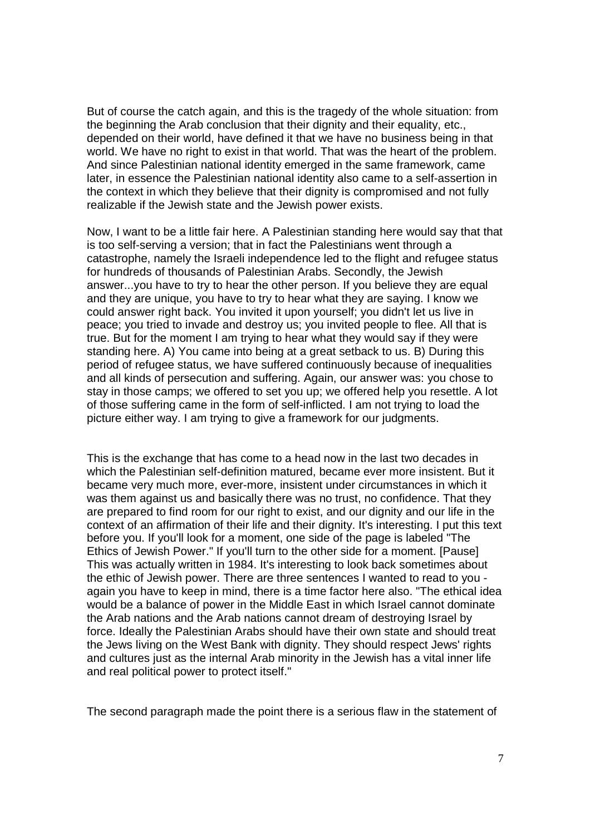But of course the catch again, and this is the tragedy of the whole situation: from the beginning the Arab conclusion that their dignity and their equality, etc., depended on their world, have defined it that we have no business being in that world. We have no right to exist in that world. That was the heart of the problem. And since Palestinian national identity emerged in the same framework, came later, in essence the Palestinian national identity also came to a self-assertion in the context in which they believe that their dignity is compromised and not fully realizable if the Jewish state and the Jewish power exists.

Now, I want to be a little fair here. A Palestinian standing here would say that that is too self-serving a version; that in fact the Palestinians went through a catastrophe, namely the Israeli independence led to the flight and refugee status for hundreds of thousands of Palestinian Arabs. Secondly, the Jewish answer...you have to try to hear the other person. If you believe they are equal and they are unique, you have to try to hear what they are saying. I know we could answer right back. You invited it upon yourself; you didn't let us live in peace; you tried to invade and destroy us; you invited people to flee. All that is true. But for the moment I am trying to hear what they would say if they were standing here. A) You came into being at a great setback to us. B) During this period of refugee status, we have suffered continuously because of inequalities and all kinds of persecution and suffering. Again, our answer was: you chose to stay in those camps; we offered to set you up; we offered help you resettle. A lot of those suffering came in the form of self-inflicted. I am not trying to load the picture either way. I am trying to give a framework for our judgments.

This is the exchange that has come to a head now in the last two decades in which the Palestinian self-definition matured, became ever more insistent. But it became very much more, ever-more, insistent under circumstances in which it was them against us and basically there was no trust, no confidence. That they are prepared to find room for our right to exist, and our dignity and our life in the context of an affirmation of their life and their dignity. It's interesting. I put this text before you. If you'll look for a moment, one side of the page is labeled "The Ethics of Jewish Power." If you'll turn to the other side for a moment. [Pause] This was actually written in 1984. It's interesting to look back sometimes about the ethic of Jewish power. There are three sentences I wanted to read to you again you have to keep in mind, there is a time factor here also. "The ethical idea would be a balance of power in the Middle East in which Israel cannot dominate the Arab nations and the Arab nations cannot dream of destroying Israel by force. Ideally the Palestinian Arabs should have their own state and should treat the Jews living on the West Bank with dignity. They should respect Jews' rights and cultures just as the internal Arab minority in the Jewish has a vital inner life and real political power to protect itself."

The second paragraph made the point there is a serious flaw in the statement of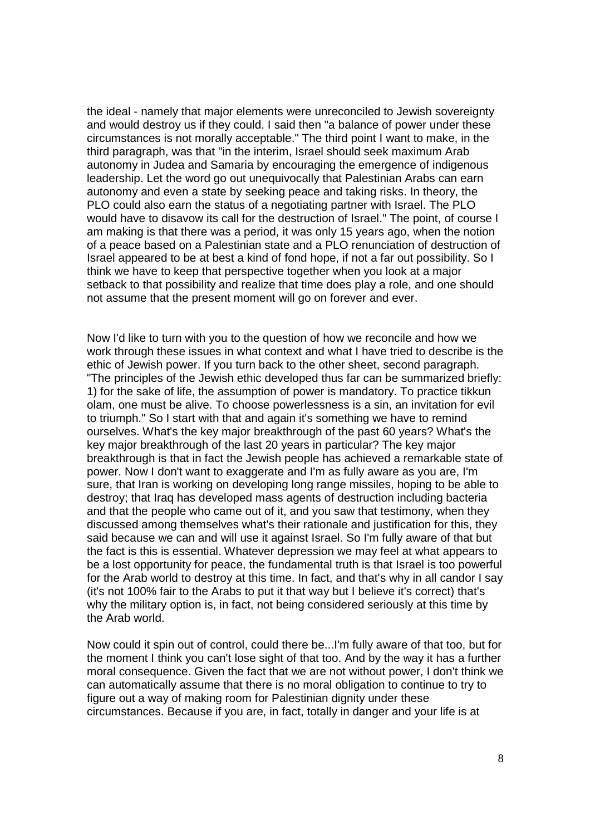the ideal - namely that major elements were unreconciled to Jewish sovereignty and would destroy us if they could. I said then "a balance of power under these circumstances is not morally acceptable." The third point I want to make, in the third paragraph, was that "in the interim, Israel should seek maximum Arab autonomy in Judea and Samaria by encouraging the emergence of indigenous leadership. Let the word go out unequivocally that Palestinian Arabs can earn autonomy and even a state by seeking peace and taking risks. In theory, the PLO could also earn the status of a negotiating partner with Israel. The PLO would have to disavow its call for the destruction of Israel." The point, of course I am making is that there was a period, it was only 15 years ago, when the notion of a peace based on a Palestinian state and a PLO renunciation of destruction of Israel appeared to be at best a kind of fond hope, if not a far out possibility. So I think we have to keep that perspective together when you look at a major setback to that possibility and realize that time does play a role, and one should not assume that the present moment will go on forever and ever.

Now I'd like to turn with you to the question of how we reconcile and how we work through these issues in what context and what I have tried to describe is the ethic of Jewish power. If you turn back to the other sheet, second paragraph. "The principles of the Jewish ethic developed thus far can be summarized briefly: 1) for the sake of life, the assumption of power is mandatory. To practice tikkun olam, one must be alive. To choose powerlessness is a sin, an invitation for evil to triumph." So I start with that and again it's something we have to remind ourselves. What's the key major breakthrough of the past 60 years? What's the key major breakthrough of the last 20 years in particular? The key major breakthrough is that in fact the Jewish people has achieved a remarkable state of power. Now I don't want to exaggerate and I'm as fully aware as you are, I'm sure, that Iran is working on developing long range missiles, hoping to be able to destroy; that Iraq has developed mass agents of destruction including bacteria and that the people who came out of it, and you saw that testimony, when they discussed among themselves what's their rationale and justification for this, they said because we can and will use it against Israel. So I'm fully aware of that but the fact is this is essential. Whatever depression we may feel at what appears to be a lost opportunity for peace, the fundamental truth is that Israel is too powerful for the Arab world to destroy at this time. In fact, and that's why in all candor I say (it's not 100% fair to the Arabs to put it that way but I believe it's correct) that's why the military option is, in fact, not being considered seriously at this time by the Arab world.

Now could it spin out of control, could there be...I'm fully aware of that too, but for the moment I think you can't lose sight of that too. And by the way it has a further moral consequence. Given the fact that we are not without power, I don't think we can automatically assume that there is no moral obligation to continue to try to figure out a way of making room for Palestinian dignity under these circumstances. Because if you are, in fact, totally in danger and your life is at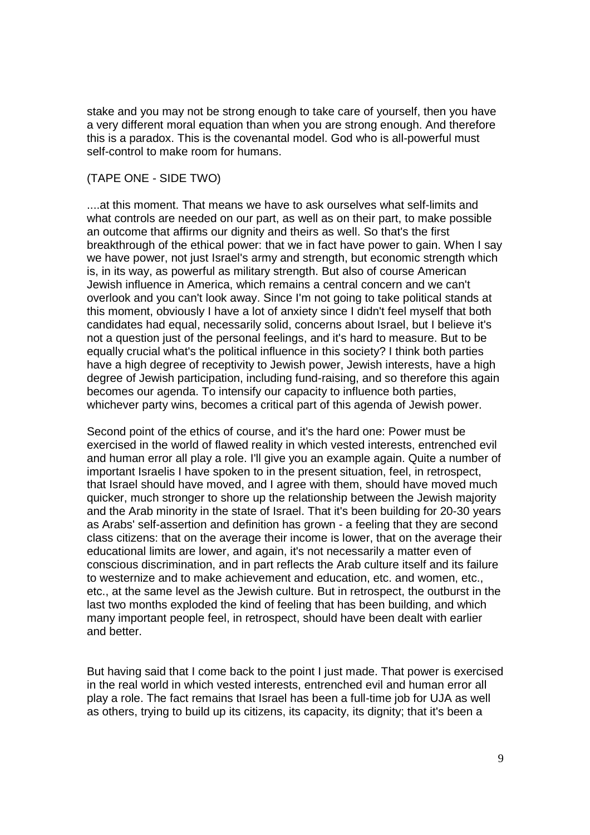stake and you may not be strong enough to take care of yourself, then you have a very different moral equation than when you are strong enough. And therefore this is a paradox. This is the covenantal model. God who is all-powerful must self-control to make room for humans.

#### (TAPE ONE - SIDE TWO)

....at this moment. That means we have to ask ourselves what self-limits and what controls are needed on our part, as well as on their part, to make possible an outcome that affirms our dignity and theirs as well. So that's the first breakthrough of the ethical power: that we in fact have power to gain. When I say we have power, not just Israel's army and strength, but economic strength which is, in its way, as powerful as military strength. But also of course American Jewish influence in America, which remains a central concern and we can't overlook and you can't look away. Since I'm not going to take political stands at this moment, obviously I have a lot of anxiety since I didn't feel myself that both candidates had equal, necessarily solid, concerns about Israel, but I believe it's not a question just of the personal feelings, and it's hard to measure. But to be equally crucial what's the political influence in this society? I think both parties have a high degree of receptivity to Jewish power, Jewish interests, have a high degree of Jewish participation, including fund-raising, and so therefore this again becomes our agenda. To intensify our capacity to influence both parties, whichever party wins, becomes a critical part of this agenda of Jewish power.

Second point of the ethics of course, and it's the hard one: Power must be exercised in the world of flawed reality in which vested interests, entrenched evil and human error all play a role. I'll give you an example again. Quite a number of important Israelis I have spoken to in the present situation, feel, in retrospect, that Israel should have moved, and I agree with them, should have moved much quicker, much stronger to shore up the relationship between the Jewish majority and the Arab minority in the state of Israel. That it's been building for 20-30 years as Arabs' self-assertion and definition has grown - a feeling that they are second class citizens: that on the average their income is lower, that on the average their educational limits are lower, and again, it's not necessarily a matter even of conscious discrimination, and in part reflects the Arab culture itself and its failure to westernize and to make achievement and education, etc. and women, etc., etc., at the same level as the Jewish culture. But in retrospect, the outburst in the last two months exploded the kind of feeling that has been building, and which many important people feel, in retrospect, should have been dealt with earlier and better.

But having said that I come back to the point I just made. That power is exercised in the real world in which vested interests, entrenched evil and human error all play a role. The fact remains that Israel has been a full-time job for UJA as well as others, trying to build up its citizens, its capacity, its dignity; that it's been a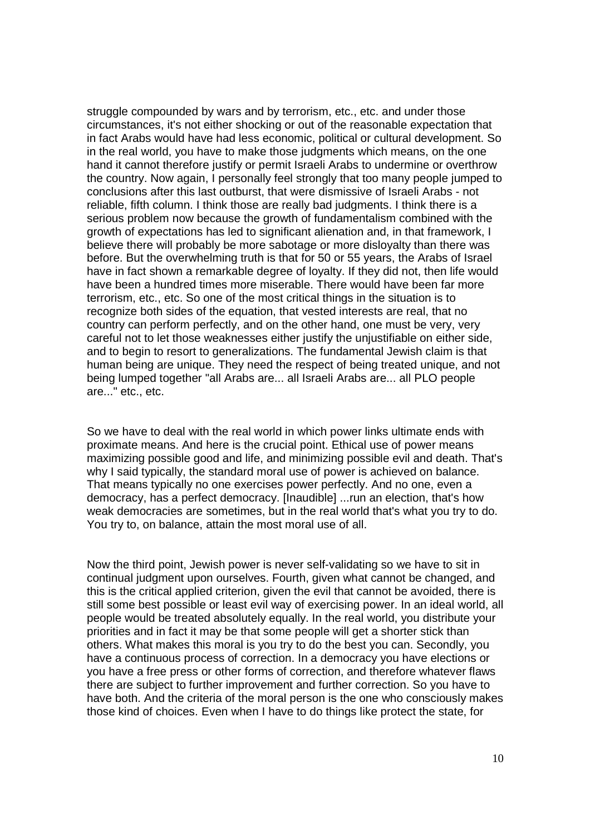struggle compounded by wars and by terrorism, etc., etc. and under those circumstances, it's not either shocking or out of the reasonable expectation that in fact Arabs would have had less economic, political or cultural development. So in the real world, you have to make those judgments which means, on the one hand it cannot therefore justify or permit Israeli Arabs to undermine or overthrow the country. Now again, I personally feel strongly that too many people jumped to conclusions after this last outburst, that were dismissive of Israeli Arabs - not reliable, fifth column. I think those are really bad judgments. I think there is a serious problem now because the growth of fundamentalism combined with the growth of expectations has led to significant alienation and, in that framework, I believe there will probably be more sabotage or more disloyalty than there was before. But the overwhelming truth is that for 50 or 55 years, the Arabs of Israel have in fact shown a remarkable degree of loyalty. If they did not, then life would have been a hundred times more miserable. There would have been far more terrorism, etc., etc. So one of the most critical things in the situation is to recognize both sides of the equation, that vested interests are real, that no country can perform perfectly, and on the other hand, one must be very, very careful not to let those weaknesses either justify the unjustifiable on either side, and to begin to resort to generalizations. The fundamental Jewish claim is that human being are unique. They need the respect of being treated unique, and not being lumped together "all Arabs are... all Israeli Arabs are... all PLO people are..." etc., etc.

So we have to deal with the real world in which power links ultimate ends with proximate means. And here is the crucial point. Ethical use of power means maximizing possible good and life, and minimizing possible evil and death. That's why I said typically, the standard moral use of power is achieved on balance. That means typically no one exercises power perfectly. And no one, even a democracy, has a perfect democracy. [Inaudible] ...run an election, that's how weak democracies are sometimes, but in the real world that's what you try to do. You try to, on balance, attain the most moral use of all.

Now the third point, Jewish power is never self-validating so we have to sit in continual judgment upon ourselves. Fourth, given what cannot be changed, and this is the critical applied criterion, given the evil that cannot be avoided, there is still some best possible or least evil way of exercising power. In an ideal world, all people would be treated absolutely equally. In the real world, you distribute your priorities and in fact it may be that some people will get a shorter stick than others. What makes this moral is you try to do the best you can. Secondly, you have a continuous process of correction. In a democracy you have elections or you have a free press or other forms of correction, and therefore whatever flaws there are subject to further improvement and further correction. So you have to have both. And the criteria of the moral person is the one who consciously makes those kind of choices. Even when I have to do things like protect the state, for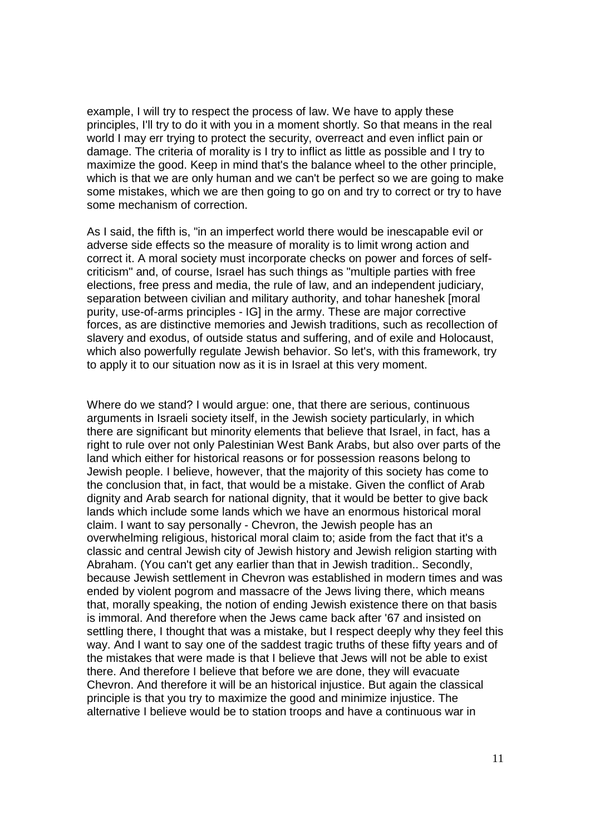example, I will try to respect the process of law. We have to apply these principles, I'll try to do it with you in a moment shortly. So that means in the real world I may err trying to protect the security, overreact and even inflict pain or damage. The criteria of morality is I try to inflict as little as possible and I try to maximize the good. Keep in mind that's the balance wheel to the other principle, which is that we are only human and we can't be perfect so we are going to make some mistakes, which we are then going to go on and try to correct or try to have some mechanism of correction.

As I said, the fifth is, "in an imperfect world there would be inescapable evil or adverse side effects so the measure of morality is to limit wrong action and correct it. A moral society must incorporate checks on power and forces of selfcriticism" and, of course, Israel has such things as "multiple parties with free elections, free press and media, the rule of law, and an independent judiciary, separation between civilian and military authority, and tohar haneshek [moral purity, use-of-arms principles - IG] in the army. These are major corrective forces, as are distinctive memories and Jewish traditions, such as recollection of slavery and exodus, of outside status and suffering, and of exile and Holocaust, which also powerfully regulate Jewish behavior. So let's, with this framework, try to apply it to our situation now as it is in Israel at this very moment.

Where do we stand? I would argue: one, that there are serious, continuous arguments in Israeli society itself, in the Jewish society particularly, in which there are significant but minority elements that believe that Israel, in fact, has a right to rule over not only Palestinian West Bank Arabs, but also over parts of the land which either for historical reasons or for possession reasons belong to Jewish people. I believe, however, that the majority of this society has come to the conclusion that, in fact, that would be a mistake. Given the conflict of Arab dignity and Arab search for national dignity, that it would be better to give back lands which include some lands which we have an enormous historical moral claim. I want to say personally - Chevron, the Jewish people has an overwhelming religious, historical moral claim to; aside from the fact that it's a classic and central Jewish city of Jewish history and Jewish religion starting with Abraham. (You can't get any earlier than that in Jewish tradition.. Secondly, because Jewish settlement in Chevron was established in modern times and was ended by violent pogrom and massacre of the Jews living there, which means that, morally speaking, the notion of ending Jewish existence there on that basis is immoral. And therefore when the Jews came back after '67 and insisted on settling there, I thought that was a mistake, but I respect deeply why they feel this way. And I want to say one of the saddest tragic truths of these fifty years and of the mistakes that were made is that I believe that Jews will not be able to exist there. And therefore I believe that before we are done, they will evacuate Chevron. And therefore it will be an historical injustice. But again the classical principle is that you try to maximize the good and minimize injustice. The alternative I believe would be to station troops and have a continuous war in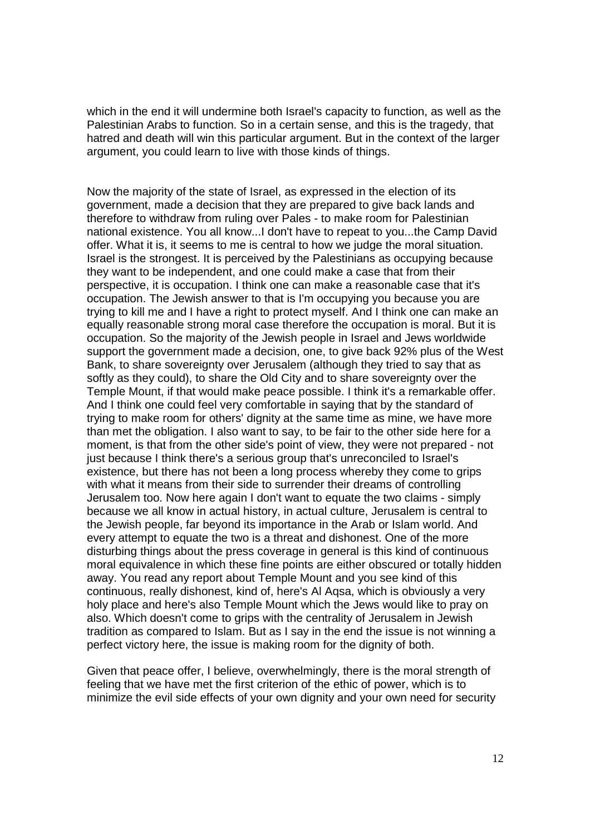which in the end it will undermine both Israel's capacity to function, as well as the Palestinian Arabs to function. So in a certain sense, and this is the tragedy, that hatred and death will win this particular argument. But in the context of the larger argument, you could learn to live with those kinds of things.

Now the majority of the state of Israel, as expressed in the election of its government, made a decision that they are prepared to give back lands and therefore to withdraw from ruling over Pales - to make room for Palestinian national existence. You all know...I don't have to repeat to you...the Camp David offer. What it is, it seems to me is central to how we judge the moral situation. Israel is the strongest. It is perceived by the Palestinians as occupying because they want to be independent, and one could make a case that from their perspective, it is occupation. I think one can make a reasonable case that it's occupation. The Jewish answer to that is I'm occupying you because you are trying to kill me and I have a right to protect myself. And I think one can make an equally reasonable strong moral case therefore the occupation is moral. But it is occupation. So the majority of the Jewish people in Israel and Jews worldwide support the government made a decision, one, to give back 92% plus of the West Bank, to share sovereignty over Jerusalem (although they tried to say that as softly as they could), to share the Old City and to share sovereignty over the Temple Mount, if that would make peace possible. I think it's a remarkable offer. And I think one could feel very comfortable in saying that by the standard of trying to make room for others' dignity at the same time as mine, we have more than met the obligation. I also want to say, to be fair to the other side here for a moment, is that from the other side's point of view, they were not prepared - not just because I think there's a serious group that's unreconciled to Israel's existence, but there has not been a long process whereby they come to grips with what it means from their side to surrender their dreams of controlling Jerusalem too. Now here again I don't want to equate the two claims - simply because we all know in actual history, in actual culture, Jerusalem is central to the Jewish people, far beyond its importance in the Arab or Islam world. And every attempt to equate the two is a threat and dishonest. One of the more disturbing things about the press coverage in general is this kind of continuous moral equivalence in which these fine points are either obscured or totally hidden away. You read any report about Temple Mount and you see kind of this continuous, really dishonest, kind of, here's Al Aqsa, which is obviously a very holy place and here's also Temple Mount which the Jews would like to pray on also. Which doesn't come to grips with the centrality of Jerusalem in Jewish tradition as compared to Islam. But as I say in the end the issue is not winning a perfect victory here, the issue is making room for the dignity of both.

Given that peace offer, I believe, overwhelmingly, there is the moral strength of feeling that we have met the first criterion of the ethic of power, which is to minimize the evil side effects of your own dignity and your own need for security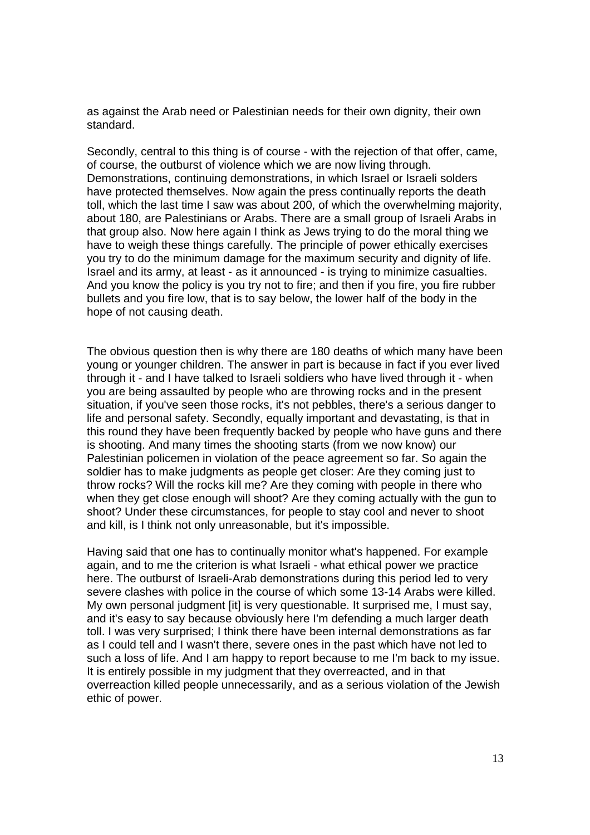as against the Arab need or Palestinian needs for their own dignity, their own standard.

Secondly, central to this thing is of course - with the rejection of that offer, came, of course, the outburst of violence which we are now living through. Demonstrations, continuing demonstrations, in which Israel or Israeli solders have protected themselves. Now again the press continually reports the death toll, which the last time I saw was about 200, of which the overwhelming majority, about 180, are Palestinians or Arabs. There are a small group of Israeli Arabs in that group also. Now here again I think as Jews trying to do the moral thing we have to weigh these things carefully. The principle of power ethically exercises you try to do the minimum damage for the maximum security and dignity of life. Israel and its army, at least - as it announced - is trying to minimize casualties. And you know the policy is you try not to fire; and then if you fire, you fire rubber bullets and you fire low, that is to say below, the lower half of the body in the hope of not causing death.

The obvious question then is why there are 180 deaths of which many have been young or younger children. The answer in part is because in fact if you ever lived through it - and I have talked to Israeli soldiers who have lived through it - when you are being assaulted by people who are throwing rocks and in the present situation, if you've seen those rocks, it's not pebbles, there's a serious danger to life and personal safety. Secondly, equally important and devastating, is that in this round they have been frequently backed by people who have guns and there is shooting. And many times the shooting starts (from we now know) our Palestinian policemen in violation of the peace agreement so far. So again the soldier has to make judgments as people get closer: Are they coming just to throw rocks? Will the rocks kill me? Are they coming with people in there who when they get close enough will shoot? Are they coming actually with the gun to shoot? Under these circumstances, for people to stay cool and never to shoot and kill, is I think not only unreasonable, but it's impossible.

Having said that one has to continually monitor what's happened. For example again, and to me the criterion is what Israeli - what ethical power we practice here. The outburst of Israeli-Arab demonstrations during this period led to very severe clashes with police in the course of which some 13-14 Arabs were killed. My own personal judgment [it] is very questionable. It surprised me, I must say, and it's easy to say because obviously here I'm defending a much larger death toll. I was very surprised; I think there have been internal demonstrations as far as I could tell and I wasn't there, severe ones in the past which have not led to such a loss of life. And I am happy to report because to me I'm back to my issue. It is entirely possible in my judgment that they overreacted, and in that overreaction killed people unnecessarily, and as a serious violation of the Jewish ethic of power.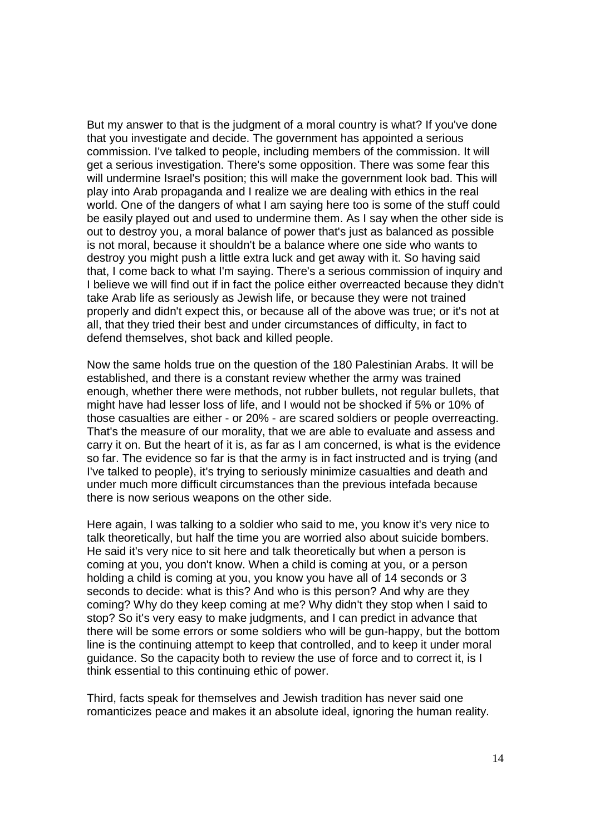But my answer to that is the judgment of a moral country is what? If you've done that you investigate and decide. The government has appointed a serious commission. I've talked to people, including members of the commission. It will get a serious investigation. There's some opposition. There was some fear this will undermine Israel's position; this will make the government look bad. This will play into Arab propaganda and I realize we are dealing with ethics in the real world. One of the dangers of what I am saying here too is some of the stuff could be easily played out and used to undermine them. As I say when the other side is out to destroy you, a moral balance of power that's just as balanced as possible is not moral, because it shouldn't be a balance where one side who wants to destroy you might push a little extra luck and get away with it. So having said that, I come back to what I'm saying. There's a serious commission of inquiry and I believe we will find out if in fact the police either overreacted because they didn't take Arab life as seriously as Jewish life, or because they were not trained properly and didn't expect this, or because all of the above was true; or it's not at all, that they tried their best and under circumstances of difficulty, in fact to defend themselves, shot back and killed people.

Now the same holds true on the question of the 180 Palestinian Arabs. It will be established, and there is a constant review whether the army was trained enough, whether there were methods, not rubber bullets, not regular bullets, that might have had lesser loss of life, and I would not be shocked if 5% or 10% of those casualties are either - or 20% - are scared soldiers or people overreacting. That's the measure of our morality, that we are able to evaluate and assess and carry it on. But the heart of it is, as far as I am concerned, is what is the evidence so far. The evidence so far is that the army is in fact instructed and is trying (and I've talked to people), it's trying to seriously minimize casualties and death and under much more difficult circumstances than the previous intefada because there is now serious weapons on the other side.

Here again, I was talking to a soldier who said to me, you know it's very nice to talk theoretically, but half the time you are worried also about suicide bombers. He said it's very nice to sit here and talk theoretically but when a person is coming at you, you don't know. When a child is coming at you, or a person holding a child is coming at you, you know you have all of 14 seconds or 3 seconds to decide: what is this? And who is this person? And why are they coming? Why do they keep coming at me? Why didn't they stop when I said to stop? So it's very easy to make judgments, and I can predict in advance that there will be some errors or some soldiers who will be gun-happy, but the bottom line is the continuing attempt to keep that controlled, and to keep it under moral guidance. So the capacity both to review the use of force and to correct it, is I think essential to this continuing ethic of power.

Third, facts speak for themselves and Jewish tradition has never said one romanticizes peace and makes it an absolute ideal, ignoring the human reality.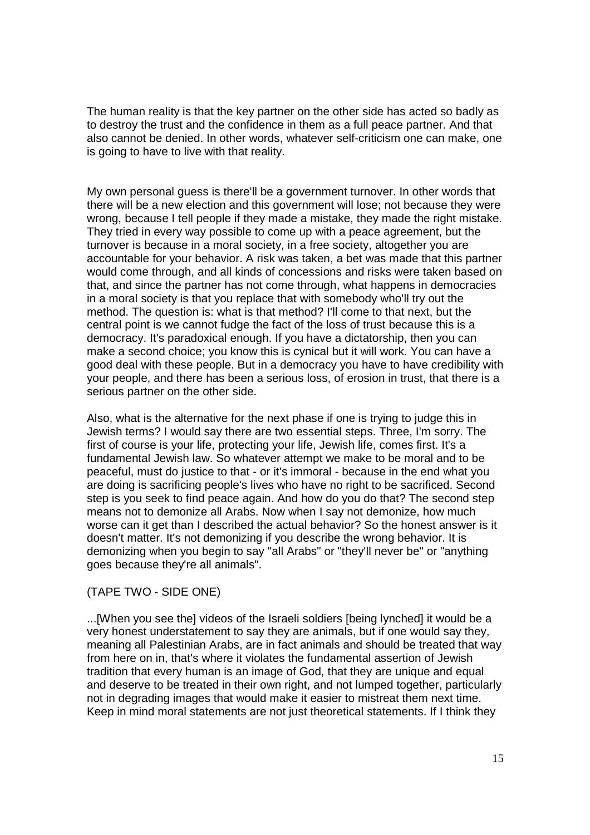The human reality is that the key partner on the other side has acted so badly as to destroy the trust and the confidence in them as a full peace partner. And that also cannot be denied. In other words, whatever self-criticism one can make, one is going to have to live with that reality.

My own personal guess is there'll be a government turnover. In other words that there will be a new election and this government will lose; not because they were wrong, because I tell people if they made a mistake, they made the right mistake. They tried in every way possible to come up with a peace agreement, but the turnover is because in a moral society, in a free society, altogether you are accountable for your behavior. A risk was taken, a bet was made that this partner would come through, and all kinds of concessions and risks were taken based on that, and since the partner has not come through, what happens in democracies in a moral society is that you replace that with somebody who'll try out the method. The question is: what is that method? I'll come to that next, but the central point is we cannot fudge the fact of the loss of trust because this is a democracy. It's paradoxical enough. If you have a dictatorship, then you can make a second choice; you know this is cynical but it will work. You can have a good deal with these people. But in a democracy you have to have credibility with your people, and there has been a serious loss, of erosion in trust, that there is a serious partner on the other side.

Also, what is the alternative for the next phase if one is trying to judge this in Jewish terms? I would say there are two essential steps. Three, I'm sorry. The first of course is your life, protecting your life, Jewish life, comes first. It's a fundamental Jewish law. So whatever attempt we make to be moral and to be peaceful, must do justice to that - or it's immoral - because in the end what you are doing is sacrificing people's lives who have no right to be sacrificed. Second step is you seek to find peace again. And how do you do that? The second step means not to demonize all Arabs. Now when I say not demonize, how much worse can it get than I described the actual behavior? So the honest answer is it doesn't matter. It's not demonizing if you describe the wrong behavior. It is demonizing when you begin to say "all Arabs" or "they'll never be" or "anything goes because they're all animals".

#### (TAPE TWO - SIDE ONE)

...[When you see the] videos of the Israeli soldiers [being lynched] it would be a very honest understatement to say they are animals, but if one would say they, meaning all Palestinian Arabs, are in fact animals and should be treated that way from here on in, that's where it violates the fundamental assertion of Jewish tradition that every human is an image of God, that they are unique and equal and deserve to be treated in their own right, and not lumped together, particularly not in degrading images that would make it easier to mistreat them next time. Keep in mind moral statements are not just theoretical statements. If I think they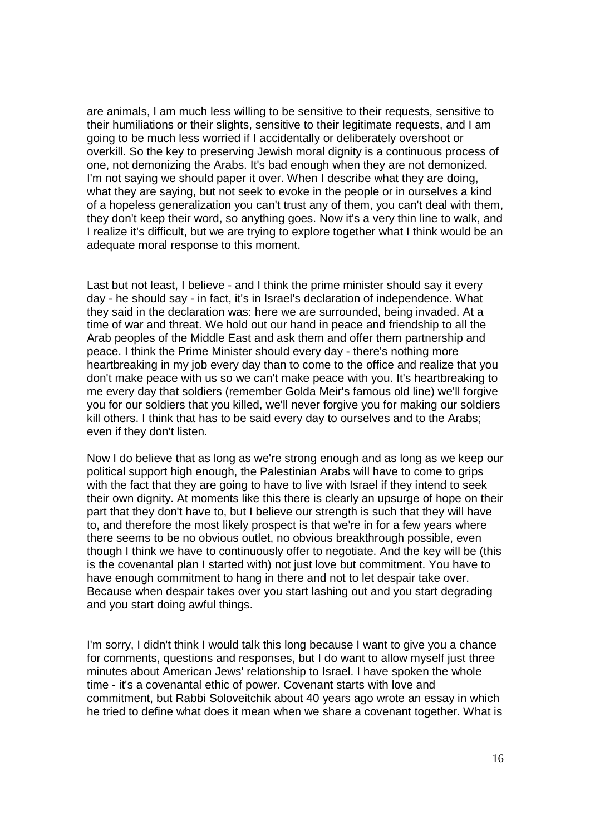are animals, I am much less willing to be sensitive to their requests, sensitive to their humiliations or their slights, sensitive to their legitimate requests, and I am going to be much less worried if I accidentally or deliberately overshoot or overkill. So the key to preserving Jewish moral dignity is a continuous process of one, not demonizing the Arabs. It's bad enough when they are not demonized. I'm not saying we should paper it over. When I describe what they are doing, what they are saying, but not seek to evoke in the people or in ourselves a kind of a hopeless generalization you can't trust any of them, you can't deal with them, they don't keep their word, so anything goes. Now it's a very thin line to walk, and I realize it's difficult, but we are trying to explore together what I think would be an adequate moral response to this moment.

Last but not least, I believe - and I think the prime minister should say it every day - he should say - in fact, it's in Israel's declaration of independence. What they said in the declaration was: here we are surrounded, being invaded. At a time of war and threat. We hold out our hand in peace and friendship to all the Arab peoples of the Middle East and ask them and offer them partnership and peace. I think the Prime Minister should every day - there's nothing more heartbreaking in my job every day than to come to the office and realize that you don't make peace with us so we can't make peace with you. It's heartbreaking to me every day that soldiers (remember Golda Meir's famous old line) we'll forgive you for our soldiers that you killed, we'll never forgive you for making our soldiers kill others. I think that has to be said every day to ourselves and to the Arabs; even if they don't listen.

Now I do believe that as long as we're strong enough and as long as we keep our political support high enough, the Palestinian Arabs will have to come to grips with the fact that they are going to have to live with Israel if they intend to seek their own dignity. At moments like this there is clearly an upsurge of hope on their part that they don't have to, but I believe our strength is such that they will have to, and therefore the most likely prospect is that we're in for a few years where there seems to be no obvious outlet, no obvious breakthrough possible, even though I think we have to continuously offer to negotiate. And the key will be (this is the covenantal plan I started with) not just love but commitment. You have to have enough commitment to hang in there and not to let despair take over. Because when despair takes over you start lashing out and you start degrading and you start doing awful things.

I'm sorry, I didn't think I would talk this long because I want to give you a chance for comments, questions and responses, but I do want to allow myself just three minutes about American Jews' relationship to Israel. I have spoken the whole time - it's a covenantal ethic of power. Covenant starts with love and commitment, but Rabbi Soloveitchik about 40 years ago wrote an essay in which he tried to define what does it mean when we share a covenant together. What is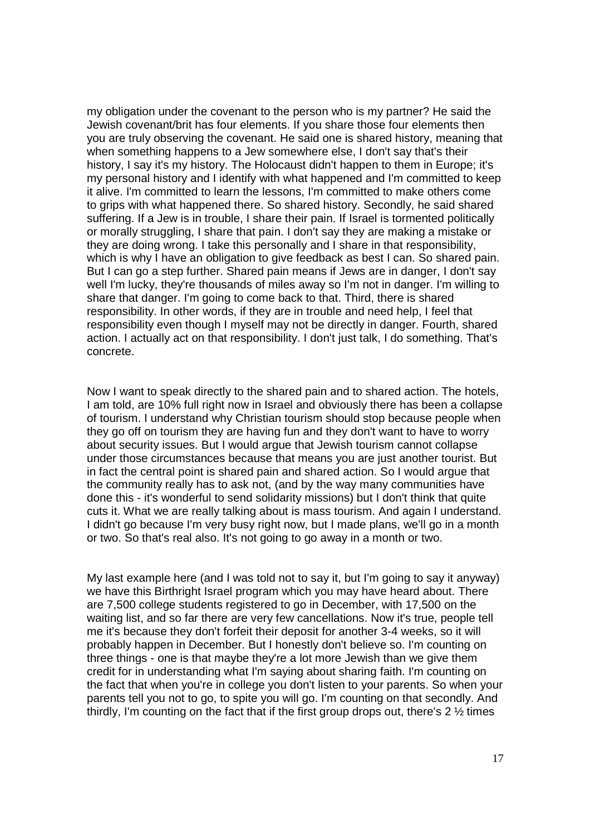my obligation under the covenant to the person who is my partner? He said the Jewish covenant/brit has four elements. If you share those four elements then you are truly observing the covenant. He said one is shared history, meaning that when something happens to a Jew somewhere else, I don't say that's their history, I say it's my history. The Holocaust didn't happen to them in Europe; it's my personal history and I identify with what happened and I'm committed to keep it alive. I'm committed to learn the lessons, I'm committed to make others come to grips with what happened there. So shared history. Secondly, he said shared suffering. If a Jew is in trouble, I share their pain. If Israel is tormented politically or morally struggling, I share that pain. I don't say they are making a mistake or they are doing wrong. I take this personally and I share in that responsibility, which is why I have an obligation to give feedback as best I can. So shared pain. But I can go a step further. Shared pain means if Jews are in danger, I don't say well I'm lucky, they're thousands of miles away so I'm not in danger. I'm willing to share that danger. I'm going to come back to that. Third, there is shared responsibility. In other words, if they are in trouble and need help, I feel that responsibility even though I myself may not be directly in danger. Fourth, shared action. I actually act on that responsibility. I don't just talk, I do something. That's concrete.

Now I want to speak directly to the shared pain and to shared action. The hotels, I am told, are 10% full right now in Israel and obviously there has been a collapse of tourism. I understand why Christian tourism should stop because people when they go off on tourism they are having fun and they don't want to have to worry about security issues. But I would argue that Jewish tourism cannot collapse under those circumstances because that means you are just another tourist. But in fact the central point is shared pain and shared action. So I would argue that the community really has to ask not, (and by the way many communities have done this - it's wonderful to send solidarity missions) but I don't think that quite cuts it. What we are really talking about is mass tourism. And again I understand. I didn't go because I'm very busy right now, but I made plans, we'll go in a month or two. So that's real also. It's not going to go away in a month or two.

My last example here (and I was told not to say it, but I'm going to say it anyway) we have this Birthright Israel program which you may have heard about. There are 7,500 college students registered to go in December, with 17,500 on the waiting list, and so far there are very few cancellations. Now it's true, people tell me it's because they don't forfeit their deposit for another 3-4 weeks, so it will probably happen in December. But I honestly don't believe so. I'm counting on three things - one is that maybe they're a lot more Jewish than we give them credit for in understanding what I'm saying about sharing faith. I'm counting on the fact that when you're in college you don't listen to your parents. So when your parents tell you not to go, to spite you will go. I'm counting on that secondly. And thirdly, I'm counting on the fact that if the first group drops out, there's 2 ½ times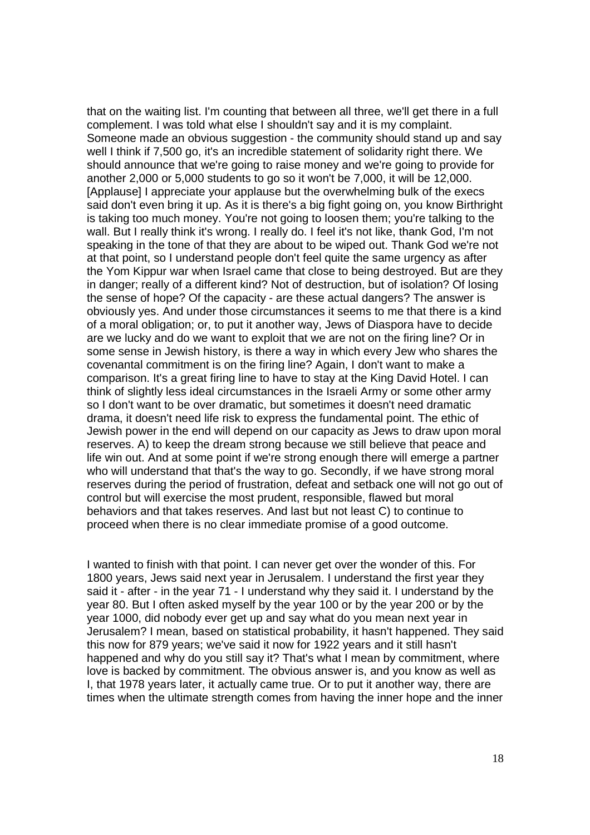that on the waiting list. I'm counting that between all three, we'll get there in a full complement. I was told what else I shouldn't say and it is my complaint. Someone made an obvious suggestion - the community should stand up and say well I think if 7,500 go, it's an incredible statement of solidarity right there. We should announce that we're going to raise money and we're going to provide for another 2,000 or 5,000 students to go so it won't be 7,000, it will be 12,000. [Applause] I appreciate your applause but the overwhelming bulk of the execs said don't even bring it up. As it is there's a big fight going on, you know Birthright is taking too much money. You're not going to loosen them; you're talking to the wall. But I really think it's wrong. I really do. I feel it's not like, thank God, I'm not speaking in the tone of that they are about to be wiped out. Thank God we're not at that point, so I understand people don't feel quite the same urgency as after the Yom Kippur war when Israel came that close to being destroyed. But are they in danger; really of a different kind? Not of destruction, but of isolation? Of losing the sense of hope? Of the capacity - are these actual dangers? The answer is obviously yes. And under those circumstances it seems to me that there is a kind of a moral obligation; or, to put it another way, Jews of Diaspora have to decide are we lucky and do we want to exploit that we are not on the firing line? Or in some sense in Jewish history, is there a way in which every Jew who shares the covenantal commitment is on the firing line? Again, I don't want to make a comparison. It's a great firing line to have to stay at the King David Hotel. I can think of slightly less ideal circumstances in the Israeli Army or some other army so I don't want to be over dramatic, but sometimes it doesn't need dramatic drama, it doesn't need life risk to express the fundamental point. The ethic of Jewish power in the end will depend on our capacity as Jews to draw upon moral reserves. A) to keep the dream strong because we still believe that peace and life win out. And at some point if we're strong enough there will emerge a partner who will understand that that's the way to go. Secondly, if we have strong moral reserves during the period of frustration, defeat and setback one will not go out of control but will exercise the most prudent, responsible, flawed but moral behaviors and that takes reserves. And last but not least C) to continue to proceed when there is no clear immediate promise of a good outcome.

I wanted to finish with that point. I can never get over the wonder of this. For 1800 years, Jews said next year in Jerusalem. I understand the first year they said it - after - in the year 71 - I understand why they said it. I understand by the year 80. But I often asked myself by the year 100 or by the year 200 or by the year 1000, did nobody ever get up and say what do you mean next year in Jerusalem? I mean, based on statistical probability, it hasn't happened. They said this now for 879 years; we've said it now for 1922 years and it still hasn't happened and why do you still say it? That's what I mean by commitment, where love is backed by commitment. The obvious answer is, and you know as well as I, that 1978 years later, it actually came true. Or to put it another way, there are times when the ultimate strength comes from having the inner hope and the inner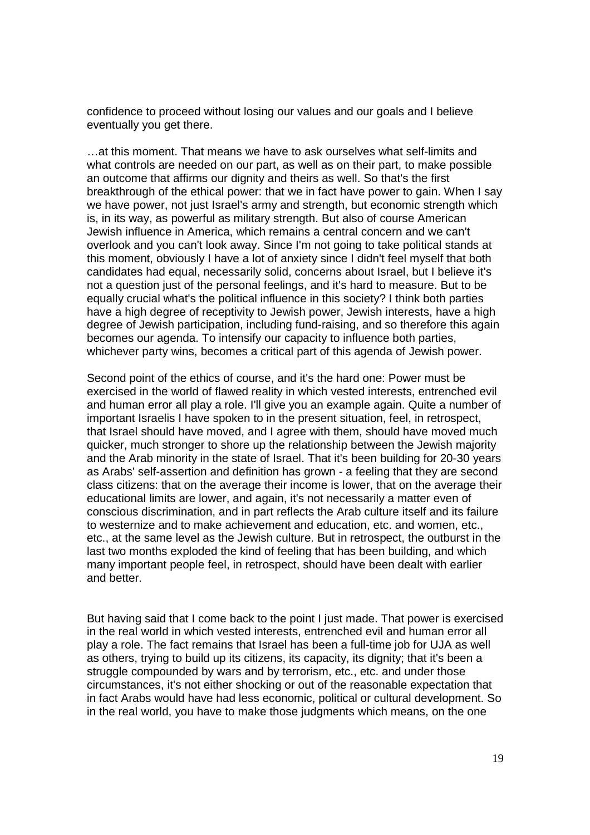confidence to proceed without losing our values and our goals and I believe eventually you get there.

…at this moment. That means we have to ask ourselves what self-limits and what controls are needed on our part, as well as on their part, to make possible an outcome that affirms our dignity and theirs as well. So that's the first breakthrough of the ethical power: that we in fact have power to gain. When I say we have power, not just Israel's army and strength, but economic strength which is, in its way, as powerful as military strength. But also of course American Jewish influence in America, which remains a central concern and we can't overlook and you can't look away. Since I'm not going to take political stands at this moment, obviously I have a lot of anxiety since I didn't feel myself that both candidates had equal, necessarily solid, concerns about Israel, but I believe it's not a question just of the personal feelings, and it's hard to measure. But to be equally crucial what's the political influence in this society? I think both parties have a high degree of receptivity to Jewish power, Jewish interests, have a high degree of Jewish participation, including fund-raising, and so therefore this again becomes our agenda. To intensify our capacity to influence both parties, whichever party wins, becomes a critical part of this agenda of Jewish power.

Second point of the ethics of course, and it's the hard one: Power must be exercised in the world of flawed reality in which vested interests, entrenched evil and human error all play a role. I'll give you an example again. Quite a number of important Israelis I have spoken to in the present situation, feel, in retrospect, that Israel should have moved, and I agree with them, should have moved much quicker, much stronger to shore up the relationship between the Jewish majority and the Arab minority in the state of Israel. That it's been building for 20-30 years as Arabs' self-assertion and definition has grown - a feeling that they are second class citizens: that on the average their income is lower, that on the average their educational limits are lower, and again, it's not necessarily a matter even of conscious discrimination, and in part reflects the Arab culture itself and its failure to westernize and to make achievement and education, etc. and women, etc., etc., at the same level as the Jewish culture. But in retrospect, the outburst in the last two months exploded the kind of feeling that has been building, and which many important people feel, in retrospect, should have been dealt with earlier and better.

But having said that I come back to the point I just made. That power is exercised in the real world in which vested interests, entrenched evil and human error all play a role. The fact remains that Israel has been a full-time job for UJA as well as others, trying to build up its citizens, its capacity, its dignity; that it's been a struggle compounded by wars and by terrorism, etc., etc. and under those circumstances, it's not either shocking or out of the reasonable expectation that in fact Arabs would have had less economic, political or cultural development. So in the real world, you have to make those judgments which means, on the one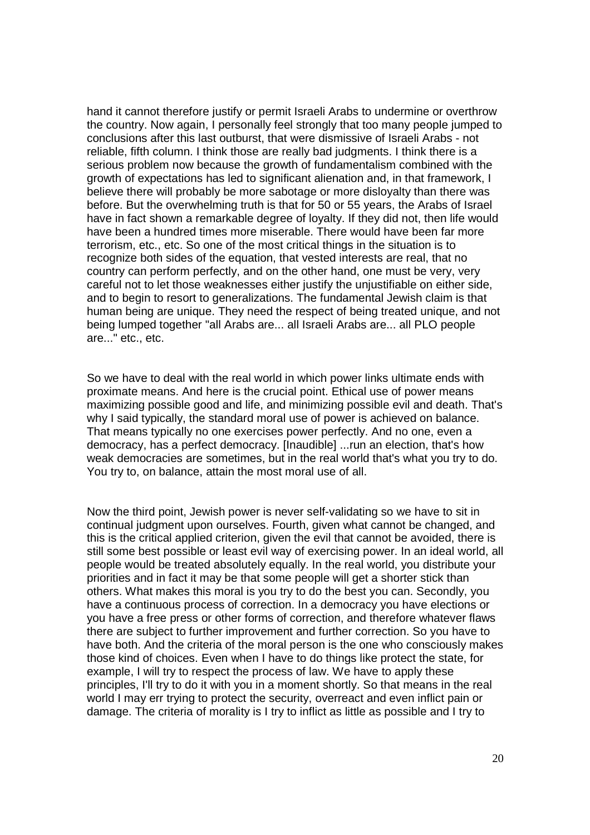hand it cannot therefore justify or permit Israeli Arabs to undermine or overthrow the country. Now again, I personally feel strongly that too many people jumped to conclusions after this last outburst, that were dismissive of Israeli Arabs - not reliable, fifth column. I think those are really bad judgments. I think there is a serious problem now because the growth of fundamentalism combined with the growth of expectations has led to significant alienation and, in that framework, I believe there will probably be more sabotage or more disloyalty than there was before. But the overwhelming truth is that for 50 or 55 years, the Arabs of Israel have in fact shown a remarkable degree of loyalty. If they did not, then life would have been a hundred times more miserable. There would have been far more terrorism, etc., etc. So one of the most critical things in the situation is to recognize both sides of the equation, that vested interests are real, that no country can perform perfectly, and on the other hand, one must be very, very careful not to let those weaknesses either justify the unjustifiable on either side, and to begin to resort to generalizations. The fundamental Jewish claim is that human being are unique. They need the respect of being treated unique, and not being lumped together "all Arabs are... all Israeli Arabs are... all PLO people are..." etc., etc.

So we have to deal with the real world in which power links ultimate ends with proximate means. And here is the crucial point. Ethical use of power means maximizing possible good and life, and minimizing possible evil and death. That's why I said typically, the standard moral use of power is achieved on balance. That means typically no one exercises power perfectly. And no one, even a democracy, has a perfect democracy. [Inaudible] ...run an election, that's how weak democracies are sometimes, but in the real world that's what you try to do. You try to, on balance, attain the most moral use of all.

Now the third point, Jewish power is never self-validating so we have to sit in continual judgment upon ourselves. Fourth, given what cannot be changed, and this is the critical applied criterion, given the evil that cannot be avoided, there is still some best possible or least evil way of exercising power. In an ideal world, all people would be treated absolutely equally. In the real world, you distribute your priorities and in fact it may be that some people will get a shorter stick than others. What makes this moral is you try to do the best you can. Secondly, you have a continuous process of correction. In a democracy you have elections or you have a free press or other forms of correction, and therefore whatever flaws there are subject to further improvement and further correction. So you have to have both. And the criteria of the moral person is the one who consciously makes those kind of choices. Even when I have to do things like protect the state, for example, I will try to respect the process of law. We have to apply these principles, I'll try to do it with you in a moment shortly. So that means in the real world I may err trying to protect the security, overreact and even inflict pain or damage. The criteria of morality is I try to inflict as little as possible and I try to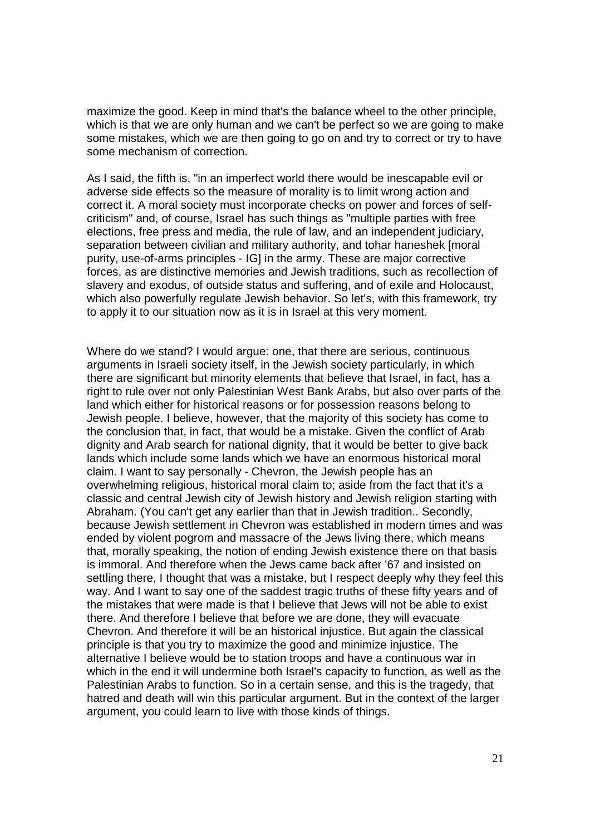maximize the good. Keep in mind that's the balance wheel to the other principle, which is that we are only human and we can't be perfect so we are going to make some mistakes, which we are then going to go on and try to correct or try to have some mechanism of correction.

As I said, the fifth is, "in an imperfect world there would be inescapable evil or adverse side effects so the measure of morality is to limit wrong action and correct it. A moral society must incorporate checks on power and forces of selfcriticism" and, of course, Israel has such things as "multiple parties with free elections, free press and media, the rule of law, and an independent judiciary, separation between civilian and military authority, and tohar haneshek [moral purity, use-of-arms principles - IG] in the army. These are major corrective forces, as are distinctive memories and Jewish traditions, such as recollection of slavery and exodus, of outside status and suffering, and of exile and Holocaust, which also powerfully regulate Jewish behavior. So let's, with this framework, try to apply it to our situation now as it is in Israel at this very moment.

Where do we stand? I would argue: one, that there are serious, continuous arguments in Israeli society itself, in the Jewish society particularly, in which there are significant but minority elements that believe that Israel, in fact, has a right to rule over not only Palestinian West Bank Arabs, but also over parts of the land which either for historical reasons or for possession reasons belong to Jewish people. I believe, however, that the majority of this society has come to the conclusion that, in fact, that would be a mistake. Given the conflict of Arab dignity and Arab search for national dignity, that it would be better to give back lands which include some lands which we have an enormous historical moral claim. I want to say personally - Chevron, the Jewish people has an overwhelming religious, historical moral claim to; aside from the fact that it's a classic and central Jewish city of Jewish history and Jewish religion starting with Abraham. (You can't get any earlier than that in Jewish tradition.. Secondly, because Jewish settlement in Chevron was established in modern times and was ended by violent pogrom and massacre of the Jews living there, which means that, morally speaking, the notion of ending Jewish existence there on that basis is immoral. And therefore when the Jews came back after '67 and insisted on settling there, I thought that was a mistake, but I respect deeply why they feel this way. And I want to say one of the saddest tragic truths of these fifty years and of the mistakes that were made is that I believe that Jews will not be able to exist there. And therefore I believe that before we are done, they will evacuate Chevron. And therefore it will be an historical injustice. But again the classical principle is that you try to maximize the good and minimize injustice. The alternative I believe would be to station troops and have a continuous war in which in the end it will undermine both Israel's capacity to function, as well as the Palestinian Arabs to function. So in a certain sense, and this is the tragedy, that hatred and death will win this particular argument. But in the context of the larger argument, you could learn to live with those kinds of things.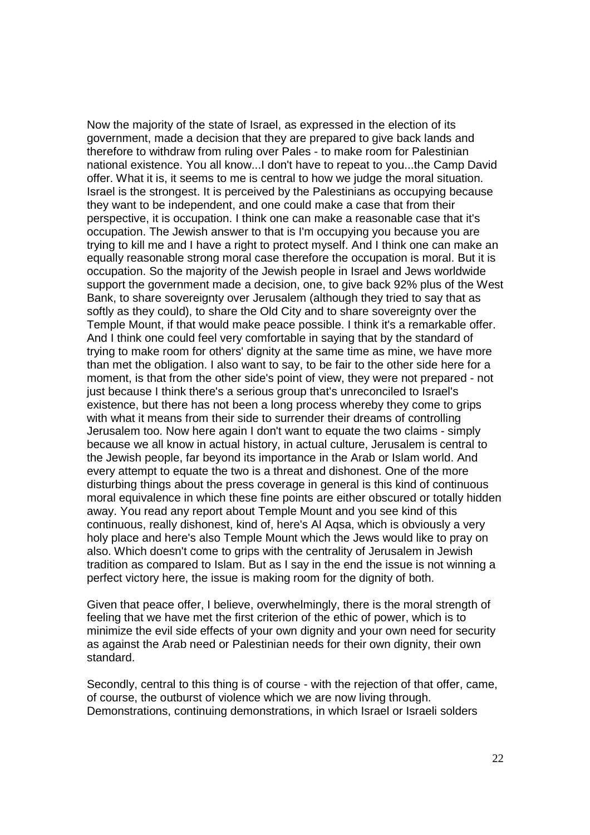Now the majority of the state of Israel, as expressed in the election of its government, made a decision that they are prepared to give back lands and therefore to withdraw from ruling over Pales - to make room for Palestinian national existence. You all know...I don't have to repeat to you...the Camp David offer. What it is, it seems to me is central to how we judge the moral situation. Israel is the strongest. It is perceived by the Palestinians as occupying because they want to be independent, and one could make a case that from their perspective, it is occupation. I think one can make a reasonable case that it's occupation. The Jewish answer to that is I'm occupying you because you are trying to kill me and I have a right to protect myself. And I think one can make an equally reasonable strong moral case therefore the occupation is moral. But it is occupation. So the majority of the Jewish people in Israel and Jews worldwide support the government made a decision, one, to give back 92% plus of the West Bank, to share sovereignty over Jerusalem (although they tried to say that as softly as they could), to share the Old City and to share sovereignty over the Temple Mount, if that would make peace possible. I think it's a remarkable offer. And I think one could feel very comfortable in saying that by the standard of trying to make room for others' dignity at the same time as mine, we have more than met the obligation. I also want to say, to be fair to the other side here for a moment, is that from the other side's point of view, they were not prepared - not just because I think there's a serious group that's unreconciled to Israel's existence, but there has not been a long process whereby they come to grips with what it means from their side to surrender their dreams of controlling Jerusalem too. Now here again I don't want to equate the two claims - simply because we all know in actual history, in actual culture, Jerusalem is central to the Jewish people, far beyond its importance in the Arab or Islam world. And every attempt to equate the two is a threat and dishonest. One of the more disturbing things about the press coverage in general is this kind of continuous moral equivalence in which these fine points are either obscured or totally hidden away. You read any report about Temple Mount and you see kind of this continuous, really dishonest, kind of, here's Al Aqsa, which is obviously a very holy place and here's also Temple Mount which the Jews would like to pray on also. Which doesn't come to grips with the centrality of Jerusalem in Jewish tradition as compared to Islam. But as I say in the end the issue is not winning a perfect victory here, the issue is making room for the dignity of both.

Given that peace offer, I believe, overwhelmingly, there is the moral strength of feeling that we have met the first criterion of the ethic of power, which is to minimize the evil side effects of your own dignity and your own need for security as against the Arab need or Palestinian needs for their own dignity, their own standard.

Secondly, central to this thing is of course - with the rejection of that offer, came, of course, the outburst of violence which we are now living through. Demonstrations, continuing demonstrations, in which Israel or Israeli solders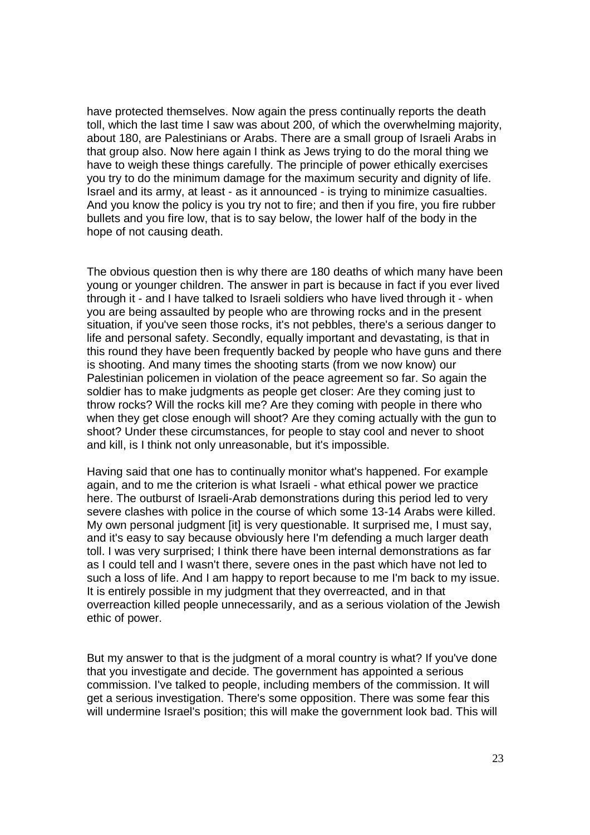have protected themselves. Now again the press continually reports the death toll, which the last time I saw was about 200, of which the overwhelming majority, about 180, are Palestinians or Arabs. There are a small group of Israeli Arabs in that group also. Now here again I think as Jews trying to do the moral thing we have to weigh these things carefully. The principle of power ethically exercises you try to do the minimum damage for the maximum security and dignity of life. Israel and its army, at least - as it announced - is trying to minimize casualties. And you know the policy is you try not to fire; and then if you fire, you fire rubber bullets and you fire low, that is to say below, the lower half of the body in the hope of not causing death.

The obvious question then is why there are 180 deaths of which many have been young or younger children. The answer in part is because in fact if you ever lived through it - and I have talked to Israeli soldiers who have lived through it - when you are being assaulted by people who are throwing rocks and in the present situation, if you've seen those rocks, it's not pebbles, there's a serious danger to life and personal safety. Secondly, equally important and devastating, is that in this round they have been frequently backed by people who have guns and there is shooting. And many times the shooting starts (from we now know) our Palestinian policemen in violation of the peace agreement so far. So again the soldier has to make judgments as people get closer: Are they coming just to throw rocks? Will the rocks kill me? Are they coming with people in there who when they get close enough will shoot? Are they coming actually with the gun to shoot? Under these circumstances, for people to stay cool and never to shoot and kill, is I think not only unreasonable, but it's impossible.

Having said that one has to continually monitor what's happened. For example again, and to me the criterion is what Israeli - what ethical power we practice here. The outburst of Israeli-Arab demonstrations during this period led to very severe clashes with police in the course of which some 13-14 Arabs were killed. My own personal judgment [it] is very questionable. It surprised me, I must say, and it's easy to say because obviously here I'm defending a much larger death toll. I was very surprised; I think there have been internal demonstrations as far as I could tell and I wasn't there, severe ones in the past which have not led to such a loss of life. And I am happy to report because to me I'm back to my issue. It is entirely possible in my judgment that they overreacted, and in that overreaction killed people unnecessarily, and as a serious violation of the Jewish ethic of power.

But my answer to that is the judgment of a moral country is what? If you've done that you investigate and decide. The government has appointed a serious commission. I've talked to people, including members of the commission. It will get a serious investigation. There's some opposition. There was some fear this will undermine Israel's position; this will make the government look bad. This will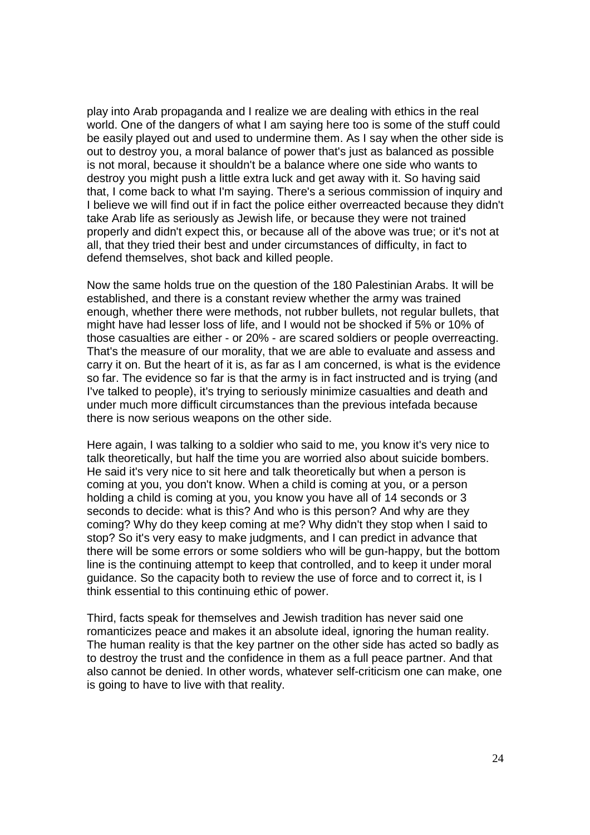play into Arab propaganda and I realize we are dealing with ethics in the real world. One of the dangers of what I am saying here too is some of the stuff could be easily played out and used to undermine them. As I say when the other side is out to destroy you, a moral balance of power that's just as balanced as possible is not moral, because it shouldn't be a balance where one side who wants to destroy you might push a little extra luck and get away with it. So having said that, I come back to what I'm saying. There's a serious commission of inquiry and I believe we will find out if in fact the police either overreacted because they didn't take Arab life as seriously as Jewish life, or because they were not trained properly and didn't expect this, or because all of the above was true; or it's not at all, that they tried their best and under circumstances of difficulty, in fact to defend themselves, shot back and killed people.

Now the same holds true on the question of the 180 Palestinian Arabs. It will be established, and there is a constant review whether the army was trained enough, whether there were methods, not rubber bullets, not regular bullets, that might have had lesser loss of life, and I would not be shocked if 5% or 10% of those casualties are either - or 20% - are scared soldiers or people overreacting. That's the measure of our morality, that we are able to evaluate and assess and carry it on. But the heart of it is, as far as I am concerned, is what is the evidence so far. The evidence so far is that the army is in fact instructed and is trying (and I've talked to people), it's trying to seriously minimize casualties and death and under much more difficult circumstances than the previous intefada because there is now serious weapons on the other side.

Here again, I was talking to a soldier who said to me, you know it's very nice to talk theoretically, but half the time you are worried also about suicide bombers. He said it's very nice to sit here and talk theoretically but when a person is coming at you, you don't know. When a child is coming at you, or a person holding a child is coming at you, you know you have all of 14 seconds or 3 seconds to decide: what is this? And who is this person? And why are they coming? Why do they keep coming at me? Why didn't they stop when I said to stop? So it's very easy to make judgments, and I can predict in advance that there will be some errors or some soldiers who will be gun-happy, but the bottom line is the continuing attempt to keep that controlled, and to keep it under moral guidance. So the capacity both to review the use of force and to correct it, is I think essential to this continuing ethic of power.

Third, facts speak for themselves and Jewish tradition has never said one romanticizes peace and makes it an absolute ideal, ignoring the human reality. The human reality is that the key partner on the other side has acted so badly as to destroy the trust and the confidence in them as a full peace partner. And that also cannot be denied. In other words, whatever self-criticism one can make, one is going to have to live with that reality.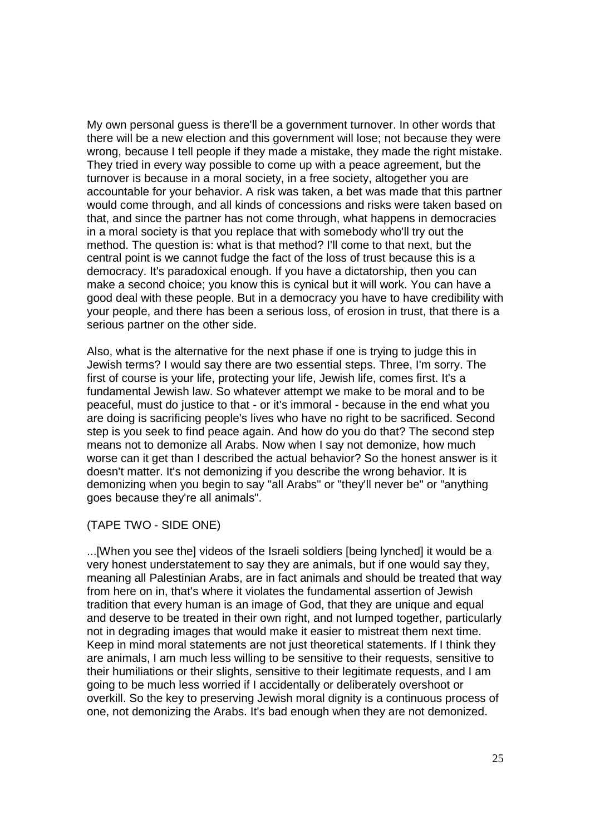My own personal guess is there'll be a government turnover. In other words that there will be a new election and this government will lose; not because they were wrong, because I tell people if they made a mistake, they made the right mistake. They tried in every way possible to come up with a peace agreement, but the turnover is because in a moral society, in a free society, altogether you are accountable for your behavior. A risk was taken, a bet was made that this partner would come through, and all kinds of concessions and risks were taken based on that, and since the partner has not come through, what happens in democracies in a moral society is that you replace that with somebody who'll try out the method. The question is: what is that method? I'll come to that next, but the central point is we cannot fudge the fact of the loss of trust because this is a democracy. It's paradoxical enough. If you have a dictatorship, then you can make a second choice; you know this is cynical but it will work. You can have a good deal with these people. But in a democracy you have to have credibility with your people, and there has been a serious loss, of erosion in trust, that there is a serious partner on the other side.

Also, what is the alternative for the next phase if one is trying to judge this in Jewish terms? I would say there are two essential steps. Three, I'm sorry. The first of course is your life, protecting your life, Jewish life, comes first. It's a fundamental Jewish law. So whatever attempt we make to be moral and to be peaceful, must do justice to that - or it's immoral - because in the end what you are doing is sacrificing people's lives who have no right to be sacrificed. Second step is you seek to find peace again. And how do you do that? The second step means not to demonize all Arabs. Now when I say not demonize, how much worse can it get than I described the actual behavior? So the honest answer is it doesn't matter. It's not demonizing if you describe the wrong behavior. It is demonizing when you begin to say "all Arabs" or "they'll never be" or "anything goes because they're all animals".

(TAPE TWO - SIDE ONE)

...[When you see the] videos of the Israeli soldiers [being lynched] it would be a very honest understatement to say they are animals, but if one would say they, meaning all Palestinian Arabs, are in fact animals and should be treated that way from here on in, that's where it violates the fundamental assertion of Jewish tradition that every human is an image of God, that they are unique and equal and deserve to be treated in their own right, and not lumped together, particularly not in degrading images that would make it easier to mistreat them next time. Keep in mind moral statements are not just theoretical statements. If I think they are animals, I am much less willing to be sensitive to their requests, sensitive to their humiliations or their slights, sensitive to their legitimate requests, and I am going to be much less worried if I accidentally or deliberately overshoot or overkill. So the key to preserving Jewish moral dignity is a continuous process of one, not demonizing the Arabs. It's bad enough when they are not demonized.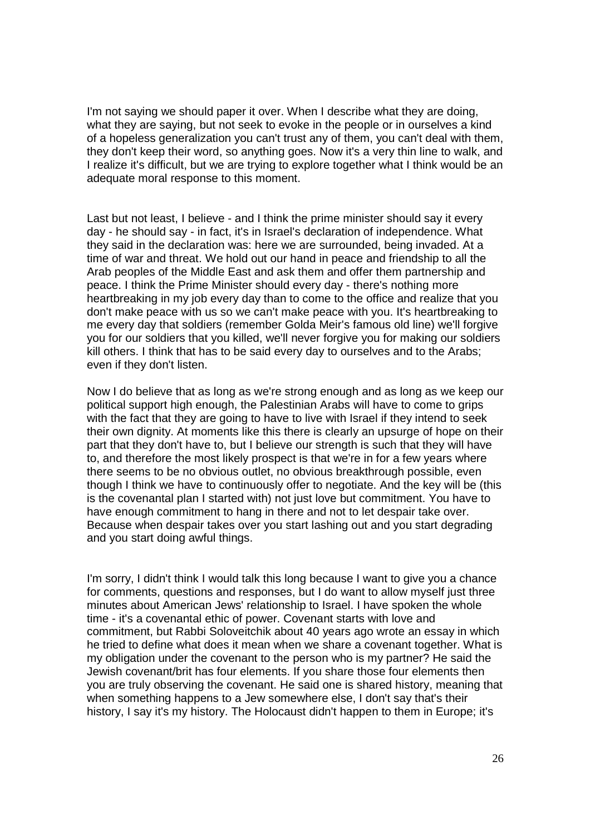I'm not saying we should paper it over. When I describe what they are doing, what they are saying, but not seek to evoke in the people or in ourselves a kind of a hopeless generalization you can't trust any of them, you can't deal with them, they don't keep their word, so anything goes. Now it's a very thin line to walk, and I realize it's difficult, but we are trying to explore together what I think would be an adequate moral response to this moment.

Last but not least, I believe - and I think the prime minister should say it every day - he should say - in fact, it's in Israel's declaration of independence. What they said in the declaration was: here we are surrounded, being invaded. At a time of war and threat. We hold out our hand in peace and friendship to all the Arab peoples of the Middle East and ask them and offer them partnership and peace. I think the Prime Minister should every day - there's nothing more heartbreaking in my job every day than to come to the office and realize that you don't make peace with us so we can't make peace with you. It's heartbreaking to me every day that soldiers (remember Golda Meir's famous old line) we'll forgive you for our soldiers that you killed, we'll never forgive you for making our soldiers kill others. I think that has to be said every day to ourselves and to the Arabs; even if they don't listen.

Now I do believe that as long as we're strong enough and as long as we keep our political support high enough, the Palestinian Arabs will have to come to grips with the fact that they are going to have to live with Israel if they intend to seek their own dignity. At moments like this there is clearly an upsurge of hope on their part that they don't have to, but I believe our strength is such that they will have to, and therefore the most likely prospect is that we're in for a few years where there seems to be no obvious outlet, no obvious breakthrough possible, even though I think we have to continuously offer to negotiate. And the key will be (this is the covenantal plan I started with) not just love but commitment. You have to have enough commitment to hang in there and not to let despair take over. Because when despair takes over you start lashing out and you start degrading and you start doing awful things.

I'm sorry, I didn't think I would talk this long because I want to give you a chance for comments, questions and responses, but I do want to allow myself just three minutes about American Jews' relationship to Israel. I have spoken the whole time - it's a covenantal ethic of power. Covenant starts with love and commitment, but Rabbi Soloveitchik about 40 years ago wrote an essay in which he tried to define what does it mean when we share a covenant together. What is my obligation under the covenant to the person who is my partner? He said the Jewish covenant/brit has four elements. If you share those four elements then you are truly observing the covenant. He said one is shared history, meaning that when something happens to a Jew somewhere else, I don't say that's their history, I say it's my history. The Holocaust didn't happen to them in Europe; it's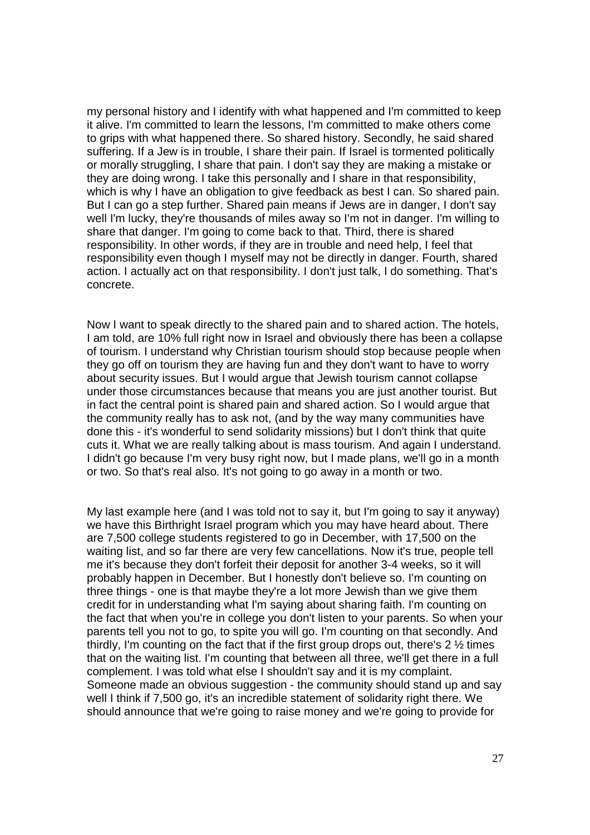my personal history and I identify with what happened and I'm committed to keep it alive. I'm committed to learn the lessons, I'm committed to make others come to grips with what happened there. So shared history. Secondly, he said shared suffering. If a Jew is in trouble, I share their pain. If Israel is tormented politically or morally struggling, I share that pain. I don't say they are making a mistake or they are doing wrong. I take this personally and I share in that responsibility, which is why I have an obligation to give feedback as best I can. So shared pain. But I can go a step further. Shared pain means if Jews are in danger, I don't say well I'm lucky, they're thousands of miles away so I'm not in danger. I'm willing to share that danger. I'm going to come back to that. Third, there is shared responsibility. In other words, if they are in trouble and need help, I feel that responsibility even though I myself may not be directly in danger. Fourth, shared action. I actually act on that responsibility. I don't just talk, I do something. That's concrete.

Now I want to speak directly to the shared pain and to shared action. The hotels, I am told, are 10% full right now in Israel and obviously there has been a collapse of tourism. I understand why Christian tourism should stop because people when they go off on tourism they are having fun and they don't want to have to worry about security issues. But I would argue that Jewish tourism cannot collapse under those circumstances because that means you are just another tourist. But in fact the central point is shared pain and shared action. So I would argue that the community really has to ask not, (and by the way many communities have done this - it's wonderful to send solidarity missions) but I don't think that quite cuts it. What we are really talking about is mass tourism. And again I understand. I didn't go because I'm very busy right now, but I made plans, we'll go in a month or two. So that's real also. It's not going to go away in a month or two.

My last example here (and I was told not to say it, but I'm going to say it anyway) we have this Birthright Israel program which you may have heard about. There are 7,500 college students registered to go in December, with 17,500 on the waiting list, and so far there are very few cancellations. Now it's true, people tell me it's because they don't forfeit their deposit for another 3-4 weeks, so it will probably happen in December. But I honestly don't believe so. I'm counting on three things - one is that maybe they're a lot more Jewish than we give them credit for in understanding what I'm saying about sharing faith. I'm counting on the fact that when you're in college you don't listen to your parents. So when your parents tell you not to go, to spite you will go. I'm counting on that secondly. And thirdly, I'm counting on the fact that if the first group drops out, there's 2 ½ times that on the waiting list. I'm counting that between all three, we'll get there in a full complement. I was told what else I shouldn't say and it is my complaint. Someone made an obvious suggestion - the community should stand up and say well I think if 7,500 go, it's an incredible statement of solidarity right there. We should announce that we're going to raise money and we're going to provide for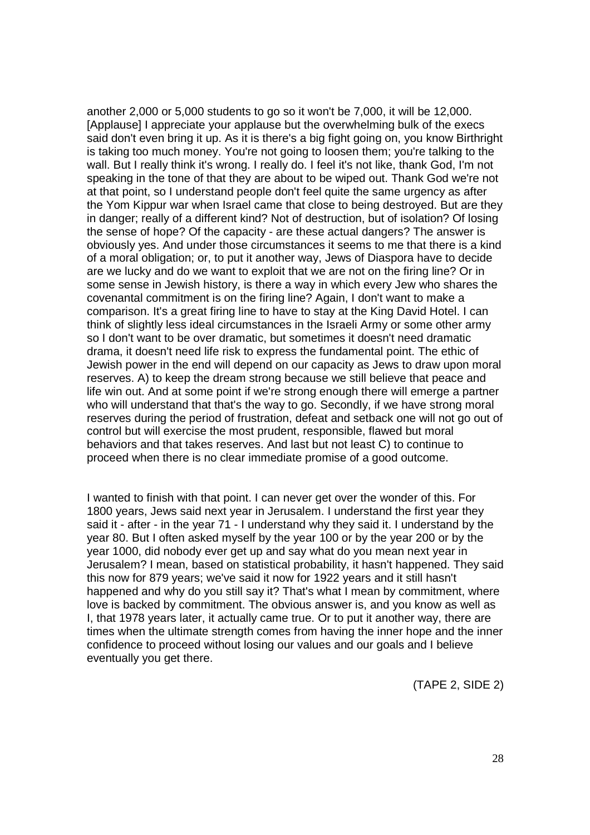another 2,000 or 5,000 students to go so it won't be 7,000, it will be 12,000. [Applause] I appreciate your applause but the overwhelming bulk of the execs said don't even bring it up. As it is there's a big fight going on, you know Birthright is taking too much money. You're not going to loosen them; you're talking to the wall. But I really think it's wrong. I really do. I feel it's not like, thank God, I'm not speaking in the tone of that they are about to be wiped out. Thank God we're not at that point, so I understand people don't feel quite the same urgency as after the Yom Kippur war when Israel came that close to being destroyed. But are they in danger; really of a different kind? Not of destruction, but of isolation? Of losing the sense of hope? Of the capacity - are these actual dangers? The answer is obviously yes. And under those circumstances it seems to me that there is a kind of a moral obligation; or, to put it another way, Jews of Diaspora have to decide are we lucky and do we want to exploit that we are not on the firing line? Or in some sense in Jewish history, is there a way in which every Jew who shares the covenantal commitment is on the firing line? Again, I don't want to make a comparison. It's a great firing line to have to stay at the King David Hotel. I can think of slightly less ideal circumstances in the Israeli Army or some other army so I don't want to be over dramatic, but sometimes it doesn't need dramatic drama, it doesn't need life risk to express the fundamental point. The ethic of Jewish power in the end will depend on our capacity as Jews to draw upon moral reserves. A) to keep the dream strong because we still believe that peace and life win out. And at some point if we're strong enough there will emerge a partner who will understand that that's the way to go. Secondly, if we have strong moral reserves during the period of frustration, defeat and setback one will not go out of control but will exercise the most prudent, responsible, flawed but moral behaviors and that takes reserves. And last but not least C) to continue to proceed when there is no clear immediate promise of a good outcome.

I wanted to finish with that point. I can never get over the wonder of this. For 1800 years, Jews said next year in Jerusalem. I understand the first year they said it - after - in the year 71 - I understand why they said it. I understand by the year 80. But I often asked myself by the year 100 or by the year 200 or by the year 1000, did nobody ever get up and say what do you mean next year in Jerusalem? I mean, based on statistical probability, it hasn't happened. They said this now for 879 years; we've said it now for 1922 years and it still hasn't happened and why do you still say it? That's what I mean by commitment, where love is backed by commitment. The obvious answer is, and you know as well as I, that 1978 years later, it actually came true. Or to put it another way, there are times when the ultimate strength comes from having the inner hope and the inner confidence to proceed without losing our values and our goals and I believe eventually you get there.

(TAPE 2, SIDE 2)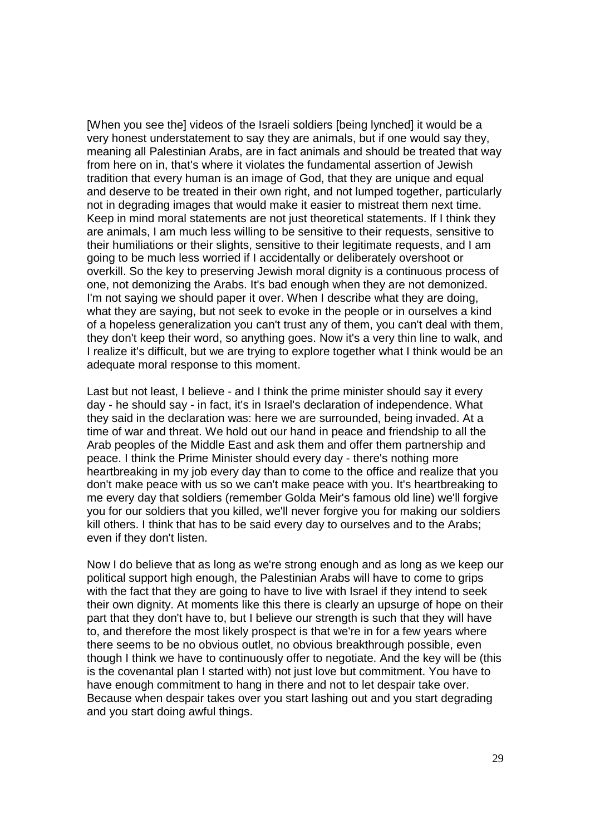[When you see the] videos of the Israeli soldiers [being lynched] it would be a very honest understatement to say they are animals, but if one would say they, meaning all Palestinian Arabs, are in fact animals and should be treated that way from here on in, that's where it violates the fundamental assertion of Jewish tradition that every human is an image of God, that they are unique and equal and deserve to be treated in their own right, and not lumped together, particularly not in degrading images that would make it easier to mistreat them next time. Keep in mind moral statements are not just theoretical statements. If I think they are animals, I am much less willing to be sensitive to their requests, sensitive to their humiliations or their slights, sensitive to their legitimate requests, and I am going to be much less worried if I accidentally or deliberately overshoot or overkill. So the key to preserving Jewish moral dignity is a continuous process of one, not demonizing the Arabs. It's bad enough when they are not demonized. I'm not saying we should paper it over. When I describe what they are doing, what they are saying, but not seek to evoke in the people or in ourselves a kind of a hopeless generalization you can't trust any of them, you can't deal with them, they don't keep their word, so anything goes. Now it's a very thin line to walk, and I realize it's difficult, but we are trying to explore together what I think would be an adequate moral response to this moment.

Last but not least, I believe - and I think the prime minister should say it every day - he should say - in fact, it's in Israel's declaration of independence. What they said in the declaration was: here we are surrounded, being invaded. At a time of war and threat. We hold out our hand in peace and friendship to all the Arab peoples of the Middle East and ask them and offer them partnership and peace. I think the Prime Minister should every day - there's nothing more heartbreaking in my job every day than to come to the office and realize that you don't make peace with us so we can't make peace with you. It's heartbreaking to me every day that soldiers (remember Golda Meir's famous old line) we'll forgive you for our soldiers that you killed, we'll never forgive you for making our soldiers kill others. I think that has to be said every day to ourselves and to the Arabs; even if they don't listen.

Now I do believe that as long as we're strong enough and as long as we keep our political support high enough, the Palestinian Arabs will have to come to grips with the fact that they are going to have to live with Israel if they intend to seek their own dignity. At moments like this there is clearly an upsurge of hope on their part that they don't have to, but I believe our strength is such that they will have to, and therefore the most likely prospect is that we're in for a few years where there seems to be no obvious outlet, no obvious breakthrough possible, even though I think we have to continuously offer to negotiate. And the key will be (this is the covenantal plan I started with) not just love but commitment. You have to have enough commitment to hang in there and not to let despair take over. Because when despair takes over you start lashing out and you start degrading and you start doing awful things.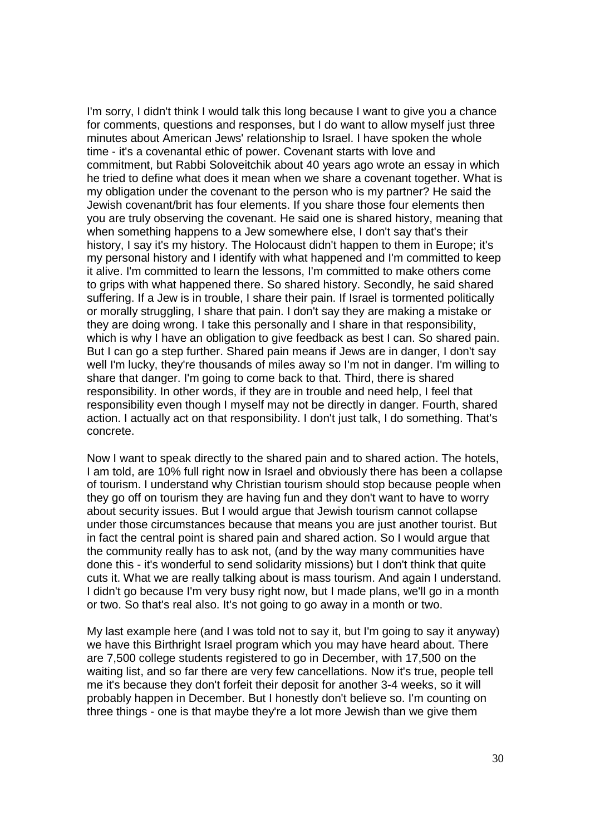I'm sorry, I didn't think I would talk this long because I want to give you a chance for comments, questions and responses, but I do want to allow myself just three minutes about American Jews' relationship to Israel. I have spoken the whole time - it's a covenantal ethic of power. Covenant starts with love and commitment, but Rabbi Soloveitchik about 40 years ago wrote an essay in which he tried to define what does it mean when we share a covenant together. What is my obligation under the covenant to the person who is my partner? He said the Jewish covenant/brit has four elements. If you share those four elements then you are truly observing the covenant. He said one is shared history, meaning that when something happens to a Jew somewhere else, I don't say that's their history, I say it's my history. The Holocaust didn't happen to them in Europe; it's my personal history and I identify with what happened and I'm committed to keep it alive. I'm committed to learn the lessons, I'm committed to make others come to grips with what happened there. So shared history. Secondly, he said shared suffering. If a Jew is in trouble, I share their pain. If Israel is tormented politically or morally struggling, I share that pain. I don't say they are making a mistake or they are doing wrong. I take this personally and I share in that responsibility, which is why I have an obligation to give feedback as best I can. So shared pain. But I can go a step further. Shared pain means if Jews are in danger, I don't say well I'm lucky, they're thousands of miles away so I'm not in danger. I'm willing to share that danger. I'm going to come back to that. Third, there is shared responsibility. In other words, if they are in trouble and need help, I feel that responsibility even though I myself may not be directly in danger. Fourth, shared action. I actually act on that responsibility. I don't just talk, I do something. That's concrete.

Now I want to speak directly to the shared pain and to shared action. The hotels, I am told, are 10% full right now in Israel and obviously there has been a collapse of tourism. I understand why Christian tourism should stop because people when they go off on tourism they are having fun and they don't want to have to worry about security issues. But I would argue that Jewish tourism cannot collapse under those circumstances because that means you are just another tourist. But in fact the central point is shared pain and shared action. So I would argue that the community really has to ask not, (and by the way many communities have done this - it's wonderful to send solidarity missions) but I don't think that quite cuts it. What we are really talking about is mass tourism. And again I understand. I didn't go because I'm very busy right now, but I made plans, we'll go in a month or two. So that's real also. It's not going to go away in a month or two.

My last example here (and I was told not to say it, but I'm going to say it anyway) we have this Birthright Israel program which you may have heard about. There are 7,500 college students registered to go in December, with 17,500 on the waiting list, and so far there are very few cancellations. Now it's true, people tell me it's because they don't forfeit their deposit for another 3-4 weeks, so it will probably happen in December. But I honestly don't believe so. I'm counting on three things - one is that maybe they're a lot more Jewish than we give them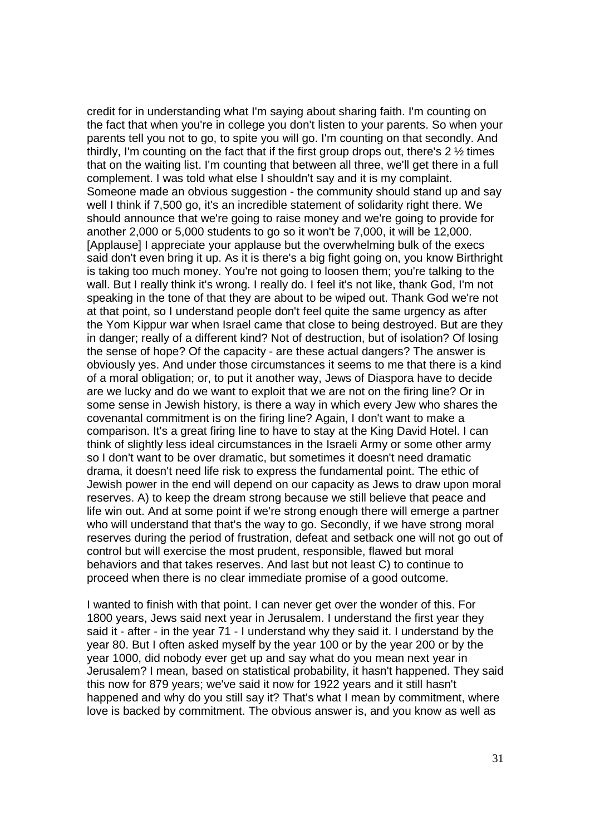credit for in understanding what I'm saying about sharing faith. I'm counting on the fact that when you're in college you don't listen to your parents. So when your parents tell you not to go, to spite you will go. I'm counting on that secondly. And thirdly, I'm counting on the fact that if the first group drops out, there's  $2\frac{1}{2}$  times that on the waiting list. I'm counting that between all three, we'll get there in a full complement. I was told what else I shouldn't say and it is my complaint. Someone made an obvious suggestion - the community should stand up and say well I think if 7,500 go, it's an incredible statement of solidarity right there. We should announce that we're going to raise money and we're going to provide for another 2,000 or 5,000 students to go so it won't be 7,000, it will be 12,000. [Applause] I appreciate your applause but the overwhelming bulk of the execs said don't even bring it up. As it is there's a big fight going on, you know Birthright is taking too much money. You're not going to loosen them; you're talking to the wall. But I really think it's wrong. I really do. I feel it's not like, thank God, I'm not speaking in the tone of that they are about to be wiped out. Thank God we're not at that point, so I understand people don't feel quite the same urgency as after the Yom Kippur war when Israel came that close to being destroyed. But are they in danger; really of a different kind? Not of destruction, but of isolation? Of losing the sense of hope? Of the capacity - are these actual dangers? The answer is obviously yes. And under those circumstances it seems to me that there is a kind of a moral obligation; or, to put it another way, Jews of Diaspora have to decide are we lucky and do we want to exploit that we are not on the firing line? Or in some sense in Jewish history, is there a way in which every Jew who shares the covenantal commitment is on the firing line? Again, I don't want to make a comparison. It's a great firing line to have to stay at the King David Hotel. I can think of slightly less ideal circumstances in the Israeli Army or some other army so I don't want to be over dramatic, but sometimes it doesn't need dramatic drama, it doesn't need life risk to express the fundamental point. The ethic of Jewish power in the end will depend on our capacity as Jews to draw upon moral reserves. A) to keep the dream strong because we still believe that peace and life win out. And at some point if we're strong enough there will emerge a partner who will understand that that's the way to go. Secondly, if we have strong moral reserves during the period of frustration, defeat and setback one will not go out of control but will exercise the most prudent, responsible, flawed but moral behaviors and that takes reserves. And last but not least C) to continue to proceed when there is no clear immediate promise of a good outcome.

I wanted to finish with that point. I can never get over the wonder of this. For 1800 years, Jews said next year in Jerusalem. I understand the first year they said it - after - in the year 71 - I understand why they said it. I understand by the year 80. But I often asked myself by the year 100 or by the year 200 or by the year 1000, did nobody ever get up and say what do you mean next year in Jerusalem? I mean, based on statistical probability, it hasn't happened. They said this now for 879 years; we've said it now for 1922 years and it still hasn't happened and why do you still say it? That's what I mean by commitment, where love is backed by commitment. The obvious answer is, and you know as well as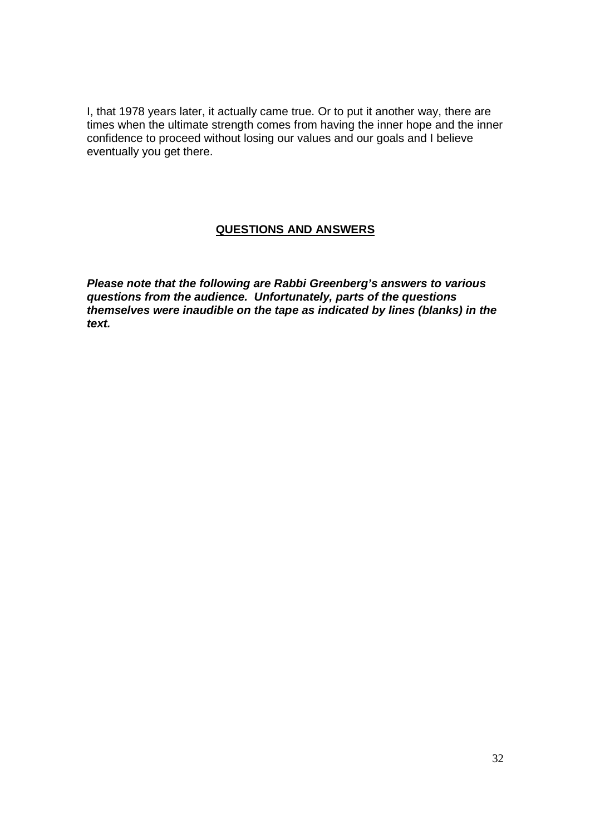I, that 1978 years later, it actually came true. Or to put it another way, there are times when the ultimate strength comes from having the inner hope and the inner confidence to proceed without losing our values and our goals and I believe eventually you get there.

## **QUESTIONS AND ANSWERS**

**Please note that the following are Rabbi Greenberg's answers to various questions from the audience. Unfortunately, parts of the questions themselves were inaudible on the tape as indicated by lines (blanks) in the text.**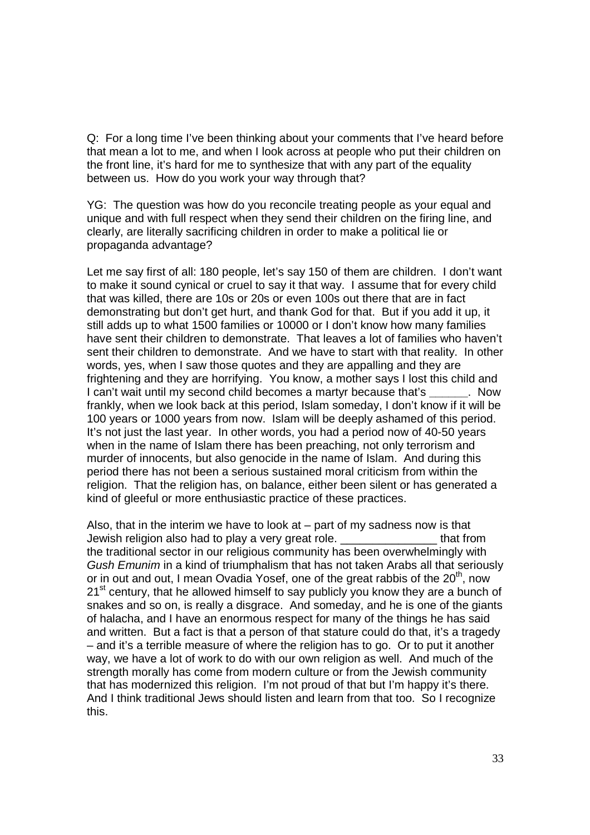Q: For a long time I've been thinking about your comments that I've heard before that mean a lot to me, and when I look across at people who put their children on the front line, it's hard for me to synthesize that with any part of the equality between us. How do you work your way through that?

YG: The question was how do you reconcile treating people as your equal and unique and with full respect when they send their children on the firing line, and clearly, are literally sacrificing children in order to make a political lie or propaganda advantage?

Let me say first of all: 180 people, let's say 150 of them are children. I don't want to make it sound cynical or cruel to say it that way. I assume that for every child that was killed, there are 10s or 20s or even 100s out there that are in fact demonstrating but don't get hurt, and thank God for that. But if you add it up, it still adds up to what 1500 families or 10000 or I don't know how many families have sent their children to demonstrate. That leaves a lot of families who haven't sent their children to demonstrate. And we have to start with that reality. In other words, yes, when I saw those quotes and they are appalling and they are frightening and they are horrifying. You know, a mother says I lost this child and I can't wait until my second child becomes a martyr because that's **\_\_\_\_\_\_**. Now frankly, when we look back at this period, Islam someday, I don't know if it will be 100 years or 1000 years from now. Islam will be deeply ashamed of this period. It's not just the last year. In other words, you had a period now of 40-50 years when in the name of Islam there has been preaching, not only terrorism and murder of innocents, but also genocide in the name of Islam. And during this period there has not been a serious sustained moral criticism from within the religion. That the religion has, on balance, either been silent or has generated a kind of gleeful or more enthusiastic practice of these practices.

Also, that in the interim we have to look at  $-$  part of my sadness now is that Jewish religion also had to play a very great role. \_\_\_\_\_\_\_\_\_\_\_\_\_\_\_ that from the traditional sector in our religious community has been overwhelmingly with Gush Emunim in a kind of triumphalism that has not taken Arabs all that seriously or in out and out, I mean Ovadia Yosef, one of the great rabbis of the  $20<sup>th</sup>$ , now  $21<sup>st</sup>$  century, that he allowed himself to say publicly you know they are a bunch of snakes and so on, is really a disgrace. And someday, and he is one of the giants of halacha, and I have an enormous respect for many of the things he has said and written. But a fact is that a person of that stature could do that, it's a tragedy – and it's a terrible measure of where the religion has to go. Or to put it another way, we have a lot of work to do with our own religion as well. And much of the strength morally has come from modern culture or from the Jewish community that has modernized this religion. I'm not proud of that but I'm happy it's there. And I think traditional Jews should listen and learn from that too. So I recognize this.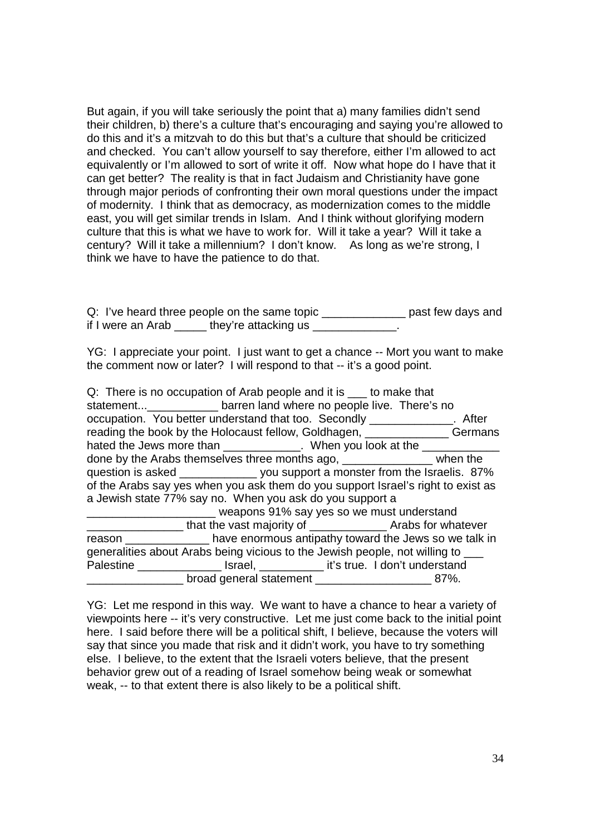But again, if you will take seriously the point that a) many families didn't send their children, b) there's a culture that's encouraging and saying you're allowed to do this and it's a mitzvah to do this but that's a culture that should be criticized and checked. You can't allow yourself to say therefore, either I'm allowed to act equivalently or I'm allowed to sort of write it off. Now what hope do I have that it can get better? The reality is that in fact Judaism and Christianity have gone through major periods of confronting their own moral questions under the impact of modernity. I think that as democracy, as modernization comes to the middle east, you will get similar trends in Islam. And I think without glorifying modern culture that this is what we have to work for. Will it take a year? Will it take a century? Will it take a millennium? I don't know. As long as we're strong, I think we have to have the patience to do that.

Q: I've heard three people on the same topic \_\_\_\_\_\_\_\_\_\_\_\_\_\_\_ past few days and if I were an Arab \_\_\_\_\_ they're attacking us \_\_\_\_\_\_\_\_\_\_\_\_\_.

YG: I appreciate your point. I just want to get a chance -- Mort you want to make the comment now or later? I will respond to that -- it's a good point.

|                                                                                  | Q: There is no occupation of Arab people and it is ____ to make that              |  |  |  |
|----------------------------------------------------------------------------------|-----------------------------------------------------------------------------------|--|--|--|
|                                                                                  | statement______________ barren land where no people live. There's no              |  |  |  |
|                                                                                  | occupation. You better understand that too. Secondly _____________. After         |  |  |  |
| reading the book by the Holocaust fellow, Goldhagen, ______________Germans       |                                                                                   |  |  |  |
|                                                                                  | hated the Jews more than _____________. When you look at the _____________        |  |  |  |
|                                                                                  | done by the Arabs themselves three months ago, _______________ when the           |  |  |  |
| question is asked ________________ you support a monster from the Israelis. 87%  |                                                                                   |  |  |  |
| of the Arabs say yes when you ask them do you support Israel's right to exist as |                                                                                   |  |  |  |
| a Jewish state 77% say no. When you ask do you support a                         |                                                                                   |  |  |  |
| weapons 91% say yes so we must understand                                        |                                                                                   |  |  |  |
|                                                                                  |                                                                                   |  |  |  |
|                                                                                  | reason _______________ have enormous antipathy toward the Jews so we talk in      |  |  |  |
|                                                                                  | generalities about Arabs being vicious to the Jewish people, not willing to ___   |  |  |  |
|                                                                                  | Palestine __________________ Israel, ______________ it's true. I don't understand |  |  |  |
|                                                                                  | broad general statement _______________________________87%.                       |  |  |  |

YG: Let me respond in this way. We want to have a chance to hear a variety of viewpoints here -- it's very constructive. Let me just come back to the initial point here. I said before there will be a political shift, I believe, because the voters will say that since you made that risk and it didn't work, you have to try something else. I believe, to the extent that the Israeli voters believe, that the present behavior grew out of a reading of Israel somehow being weak or somewhat weak, -- to that extent there is also likely to be a political shift.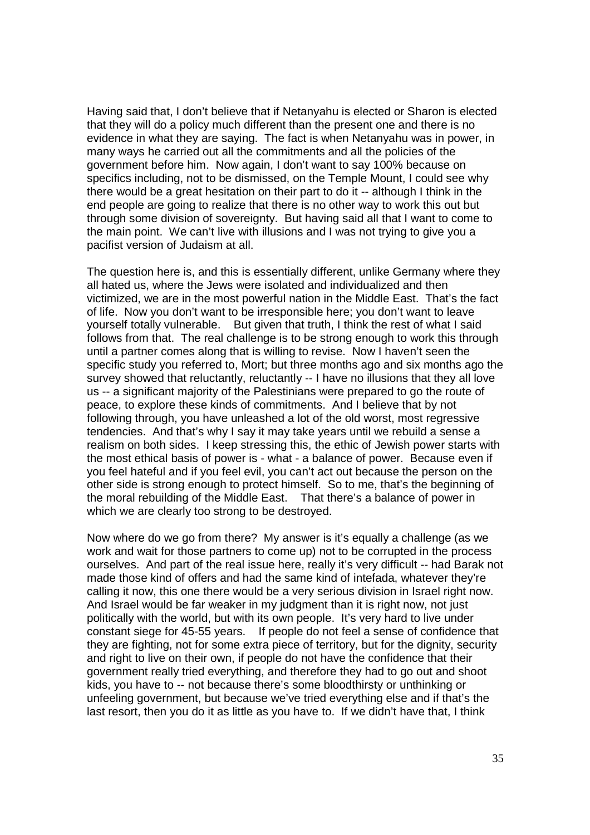Having said that, I don't believe that if Netanyahu is elected or Sharon is elected that they will do a policy much different than the present one and there is no evidence in what they are saying. The fact is when Netanyahu was in power, in many ways he carried out all the commitments and all the policies of the government before him. Now again, I don't want to say 100% because on specifics including, not to be dismissed, on the Temple Mount, I could see why there would be a great hesitation on their part to do it -- although I think in the end people are going to realize that there is no other way to work this out but through some division of sovereignty. But having said all that I want to come to the main point. We can't live with illusions and I was not trying to give you a pacifist version of Judaism at all.

The question here is, and this is essentially different, unlike Germany where they all hated us, where the Jews were isolated and individualized and then victimized, we are in the most powerful nation in the Middle East. That's the fact of life. Now you don't want to be irresponsible here; you don't want to leave yourself totally vulnerable. But given that truth, I think the rest of what I said follows from that. The real challenge is to be strong enough to work this through until a partner comes along that is willing to revise. Now I haven't seen the specific study you referred to, Mort; but three months ago and six months ago the survey showed that reluctantly, reluctantly -- I have no illusions that they all love us -- a significant majority of the Palestinians were prepared to go the route of peace, to explore these kinds of commitments. And I believe that by not following through, you have unleashed a lot of the old worst, most regressive tendencies. And that's why I say it may take years until we rebuild a sense a realism on both sides. I keep stressing this, the ethic of Jewish power starts with the most ethical basis of power is - what - a balance of power. Because even if you feel hateful and if you feel evil, you can't act out because the person on the other side is strong enough to protect himself. So to me, that's the beginning of the moral rebuilding of the Middle East. That there's a balance of power in which we are clearly too strong to be destroyed.

Now where do we go from there? My answer is it's equally a challenge (as we work and wait for those partners to come up) not to be corrupted in the process ourselves. And part of the real issue here, really it's very difficult -- had Barak not made those kind of offers and had the same kind of intefada, whatever they're calling it now, this one there would be a very serious division in Israel right now. And Israel would be far weaker in my judgment than it is right now, not just politically with the world, but with its own people. It's very hard to live under constant siege for 45-55 years. If people do not feel a sense of confidence that they are fighting, not for some extra piece of territory, but for the dignity, security and right to live on their own, if people do not have the confidence that their government really tried everything, and therefore they had to go out and shoot kids, you have to -- not because there's some bloodthirsty or unthinking or unfeeling government, but because we've tried everything else and if that's the last resort, then you do it as little as you have to. If we didn't have that, I think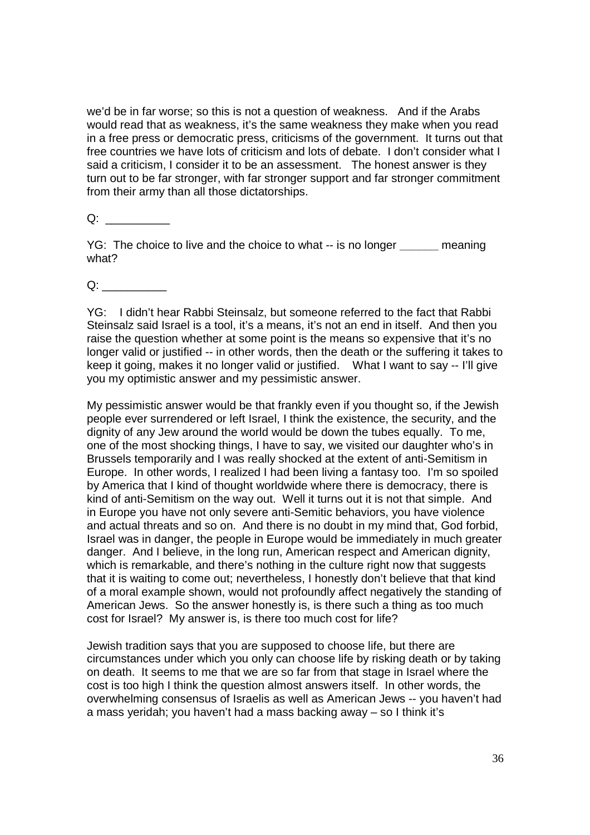we'd be in far worse; so this is not a question of weakness. And if the Arabs would read that as weakness, it's the same weakness they make when you read in a free press or democratic press, criticisms of the government. It turns out that free countries we have lots of criticism and lots of debate. I don't consider what I said a criticism, I consider it to be an assessment. The honest answer is they turn out to be far stronger, with far stronger support and far stronger commitment from their army than all those dictatorships.

 $Q:$ 

YG: The choice to live and the choice to what -- is no longer **\_\_\_\_\_\_** meaning what?

 $Q:$ 

YG: I didn't hear Rabbi Steinsalz, but someone referred to the fact that Rabbi Steinsalz said Israel is a tool, it's a means, it's not an end in itself. And then you raise the question whether at some point is the means so expensive that it's no longer valid or justified -- in other words, then the death or the suffering it takes to keep it going, makes it no longer valid or justified. What I want to say -- I'll give you my optimistic answer and my pessimistic answer.

My pessimistic answer would be that frankly even if you thought so, if the Jewish people ever surrendered or left Israel, I think the existence, the security, and the dignity of any Jew around the world would be down the tubes equally. To me, one of the most shocking things, I have to say, we visited our daughter who's in Brussels temporarily and I was really shocked at the extent of anti-Semitism in Europe. In other words, I realized I had been living a fantasy too. I'm so spoiled by America that I kind of thought worldwide where there is democracy, there is kind of anti-Semitism on the way out. Well it turns out it is not that simple. And in Europe you have not only severe anti-Semitic behaviors, you have violence and actual threats and so on. And there is no doubt in my mind that, God forbid, Israel was in danger, the people in Europe would be immediately in much greater danger. And I believe, in the long run, American respect and American dignity, which is remarkable, and there's nothing in the culture right now that suggests that it is waiting to come out; nevertheless, I honestly don't believe that that kind of a moral example shown, would not profoundly affect negatively the standing of American Jews. So the answer honestly is, is there such a thing as too much cost for Israel? My answer is, is there too much cost for life?

Jewish tradition says that you are supposed to choose life, but there are circumstances under which you only can choose life by risking death or by taking on death. It seems to me that we are so far from that stage in Israel where the cost is too high I think the question almost answers itself. In other words, the overwhelming consensus of Israelis as well as American Jews -- you haven't had a mass yeridah; you haven't had a mass backing away – so I think it's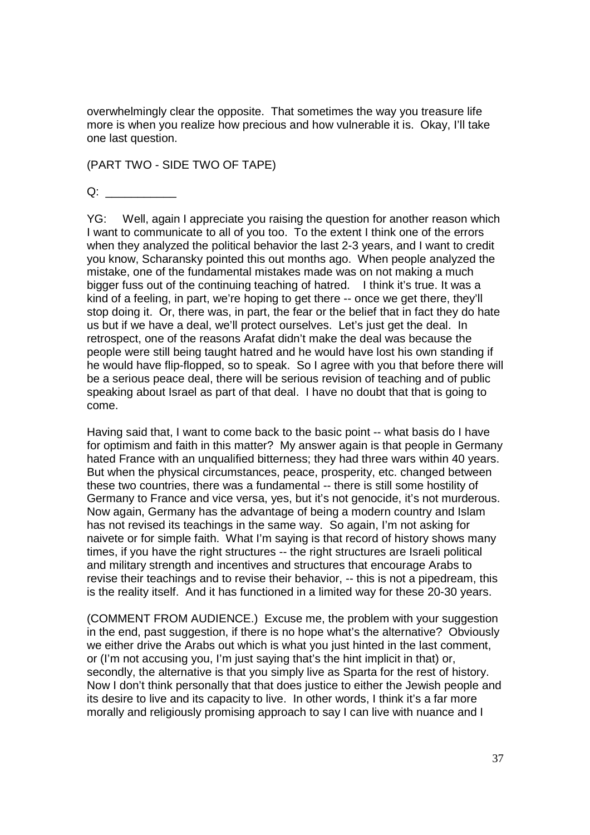overwhelmingly clear the opposite. That sometimes the way you treasure life more is when you realize how precious and how vulnerable it is. Okay, I'll take one last question.

(PART TWO - SIDE TWO OF TAPE)

 $Q:$ 

YG: Well, again I appreciate you raising the question for another reason which I want to communicate to all of you too. To the extent I think one of the errors when they analyzed the political behavior the last 2-3 years, and I want to credit you know, Scharansky pointed this out months ago. When people analyzed the mistake, one of the fundamental mistakes made was on not making a much bigger fuss out of the continuing teaching of hatred. I think it's true. It was a kind of a feeling, in part, we're hoping to get there -- once we get there, they'll stop doing it. Or, there was, in part, the fear or the belief that in fact they do hate us but if we have a deal, we'll protect ourselves. Let's just get the deal. In retrospect, one of the reasons Arafat didn't make the deal was because the people were still being taught hatred and he would have lost his own standing if he would have flip-flopped, so to speak. So I agree with you that before there will be a serious peace deal, there will be serious revision of teaching and of public speaking about Israel as part of that deal. I have no doubt that that is going to come.

Having said that, I want to come back to the basic point -- what basis do I have for optimism and faith in this matter? My answer again is that people in Germany hated France with an unqualified bitterness; they had three wars within 40 years. But when the physical circumstances, peace, prosperity, etc. changed between these two countries, there was a fundamental -- there is still some hostility of Germany to France and vice versa, yes, but it's not genocide, it's not murderous. Now again, Germany has the advantage of being a modern country and Islam has not revised its teachings in the same way. So again, I'm not asking for naivete or for simple faith. What I'm saying is that record of history shows many times, if you have the right structures -- the right structures are Israeli political and military strength and incentives and structures that encourage Arabs to revise their teachings and to revise their behavior, -- this is not a pipedream, this is the reality itself. And it has functioned in a limited way for these 20-30 years.

(COMMENT FROM AUDIENCE.) Excuse me, the problem with your suggestion in the end, past suggestion, if there is no hope what's the alternative? Obviously we either drive the Arabs out which is what you just hinted in the last comment, or (I'm not accusing you, I'm just saying that's the hint implicit in that) or, secondly, the alternative is that you simply live as Sparta for the rest of history. Now I don't think personally that that does justice to either the Jewish people and its desire to live and its capacity to live. In other words, I think it's a far more morally and religiously promising approach to say I can live with nuance and I